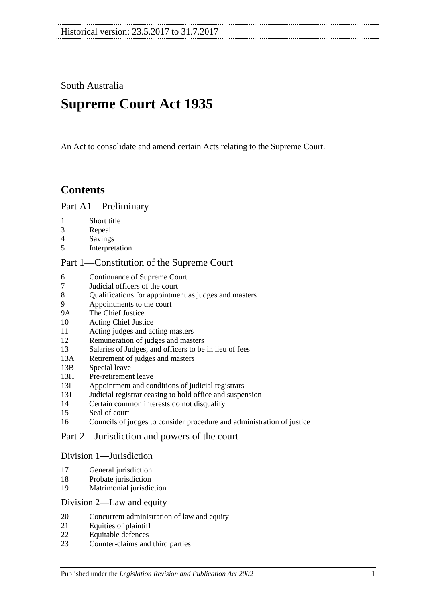South Australia

# **Supreme Court Act 1935**

An Act to consolidate and amend certain Acts relating to the Supreme Court.

## **Contents**

### [Part A1—Preliminary](#page-3-0)

- 1 [Short title](#page-3-1)
- 3 [Repeal](#page-3-2)
- 4 [Savings](#page-3-3)
- 5 [Interpretation](#page-3-4)

### [Part 1—Constitution of the Supreme Court](#page-5-0)

- 6 [Continuance of](#page-5-1) Supreme Court<br>7 Judicial officers of the court
- 7 [Judicial officers of the court](#page-5-2)
- 8 [Qualifications for appointment as judges and masters](#page-5-3)
- 9 [Appointments to the court](#page-6-0)
- 9A [The Chief Justice](#page-6-1)
- 10 [Acting Chief Justice](#page-6-2)
- 11 [Acting judges and acting masters](#page-6-3)
- 12 [Remuneration of judges and masters](#page-7-0)
- 13 [Salaries of Judges, and officers to be in lieu of fees](#page-7-1)
- 13A [Retirement of judges and masters](#page-7-2)
- 13B [Special leave](#page-7-3)
- 13H [Pre-retirement leave](#page-8-0)
- 13I [Appointment and conditions of judicial registrars](#page-9-0)
- 13J [Judicial registrar ceasing to hold office and suspension](#page-10-0)
- 14 [Certain common interests do not disqualify](#page-10-1)
- 15 [Seal of court](#page-10-2)
- 16 [Councils of judges to consider procedure and administration of justice](#page-11-0)

### [Part 2—Jurisdiction and powers of the court](#page-11-1)

### [Division 1—Jurisdiction](#page-11-2)

- 17 [General jurisdiction](#page-11-3)
- 18 [Probate jurisdiction](#page-12-0)
- 19 [Matrimonial jurisdiction](#page-12-1)

### [Division 2—Law and equity](#page-12-2)

- 20 [Concurrent administration of law and equity](#page-12-3)
- 21 [Equities of plaintiff](#page-12-4)
- 22 [Equitable defences](#page-13-0)
- 23 [Counter-claims and third parties](#page-13-1)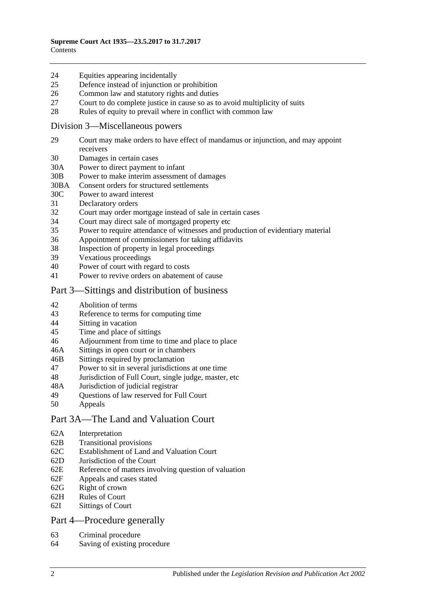#### 24 [Equities appearing incidentally](#page-13-2)

- 25 [Defence instead of injunction or prohibition](#page-13-3)
- 26 [Common law and statutory rights and duties](#page-14-0)
- 27 [Court to do complete justice in cause so as to avoid multiplicity of suits](#page-14-1)
- 28 [Rules of equity to prevail where in conflict with common law](#page-14-2)

#### [Division 3—Miscellaneous powers](#page-14-3)

- 29 [Court may make orders to have effect of mandamus or injunction, and may appoint](#page-14-4)  [receivers](#page-14-4)
- 30 [Damages in certain cases](#page-15-0)
- 30A [Power to direct payment to infant](#page-15-1)
- 30B [Power to make interim assessment of damages](#page-15-2)
- 30BA [Consent orders for structured settlements](#page-18-0)
- 30C [Power to award interest](#page-18-1)
- 31 [Declaratory orders](#page-19-0)
- 32 [Court may order mortgage instead of sale in certain cases](#page-19-1)
- 34 [Court may direct sale of mortgaged property etc](#page-19-2)
- 35 [Power to require attendance of witnesses and production of evidentiary material](#page-19-3)
- 36 [Appointment of commissioners for taking affidavits](#page-20-0)
- 38 [Inspection of property in legal proceedings](#page-20-1)<br>39 Vexations proceedings
- [Vexatious proceedings](#page-20-2)
- 40 [Power of court with regard to costs](#page-21-0)
- 41 [Power to revive orders on abatement of cause](#page-21-1)

### [Part 3—Sittings and distribution of business](#page-21-2)

- 42 [Abolition of terms](#page-21-3)
- 43 [Reference to terms for computing time](#page-21-4)
- 44 Sitting [in vacation](#page-21-5)
- 45 [Time and place of sittings](#page-22-0)
- 46 [Adjournment from time to time and place to place](#page-22-1)
- 46A [Sittings in open court or in chambers](#page-22-2)
- 46B [Sittings required by proclamation](#page-22-3)
- 47 [Power to sit in several jurisdictions at one time](#page-22-4)
- 48 [Jurisdiction of Full Court, single judge, master, etc](#page-22-5)
- 48A [Jurisdiction of judicial registrar](#page-23-0)
- 49 [Questions of law reserved for Full Court](#page-23-1)
- 50 [Appeals](#page-23-2)

### [Part 3A—The Land and Valuation Court](#page-25-0)

- 62A [Interpretation](#page-25-1)
- 62B [Transitional provisions](#page-25-2)
- 62C [Establishment of Land and Valuation Court](#page-25-3)
- 62D [Jurisdiction of the Court](#page-26-0)
- 62E [Reference of matters involving question of valuation](#page-27-0)
- 62F [Appeals and cases stated](#page-27-1)
- 62G [Right of crown](#page-27-2)
- 62H [Rules of Court](#page-27-3)
- 62I [Sittings of Court](#page-28-0)

### [Part 4—Procedure generally](#page-28-1)

- 63 [Criminal procedure](#page-28-2)
- 64 [Saving of existing procedure](#page-28-3)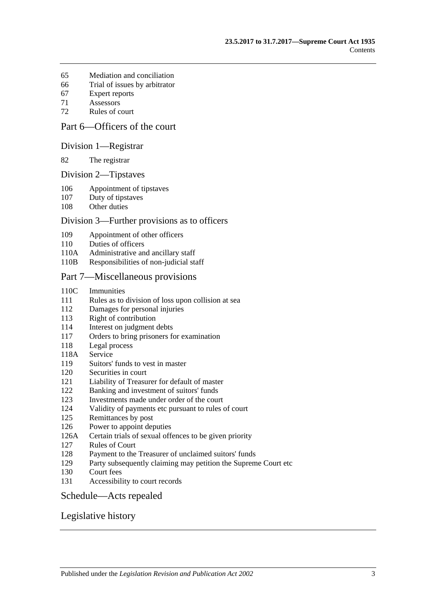- [Mediation and conciliation](#page-28-4)
- [Trial of issues by arbitrator](#page-29-0)
- [Expert reports](#page-29-1)
- [Assessors](#page-29-2)
- [Rules of court](#page-29-3)

### [Part 6—Officers of the court](#page-31-0)

#### [Division 1—Registrar](#page-31-1)

[The registrar](#page-31-2)

#### [Division 2—Tipstaves](#page-31-3)

- [Appointment of tipstaves](#page-31-4)
- [Duty of tipstaves](#page-31-5)
- [Other duties](#page-31-6)

#### [Division 3—Further provisions as to officers](#page-32-0)

- [Appointment of other officers](#page-32-1)
- [Duties of officers](#page-32-2)
- 110A [Administrative and ancillary staff](#page-32-3)
- 110B [Responsibilities of non-judicial staff](#page-32-4)

#### [Part 7—Miscellaneous provisions](#page-32-5)

- 110C [Immunities](#page-32-6)
- Rules as to division [of loss upon collision at sea](#page-33-0)
- [Damages for personal injuries](#page-33-1)
- [Right of contribution](#page-33-2)
- [Interest on judgment debts](#page-34-0)
- [Orders to bring prisoners for examination](#page-34-1)
- [Legal process](#page-34-2)
- 118A [Service](#page-34-3)
- [Suitors' funds to vest in master](#page-34-4)
- [Securities in court](#page-35-0)
- [Liability of Treasurer for default of master](#page-35-1)
- [Banking and investment of suitors' funds](#page-35-2)
- [Investments made under order of the court](#page-35-3)
- [Validity of payments etc pursuant to rules of court](#page-35-4)
- [Remittances by post](#page-35-5)
- [Power to appoint deputies](#page-36-0)
- 126A [Certain trials of sexual offences to be given priority](#page-36-1)
- [Rules of Court](#page-36-2)
- [Payment to the Treasurer of unclaimed suitors' funds](#page-37-0)
- [Party subsequently claiming may petition the Supreme Court etc](#page-37-1)
- [Court fees](#page-37-2)
- [Accessibility to court records](#page-37-3)

### [Schedule—Acts repealed](#page-39-0)

### [Legislative history](#page-41-0)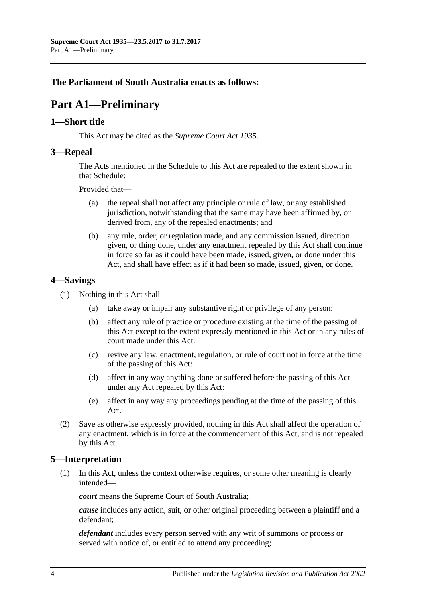### <span id="page-3-0"></span>**The Parliament of South Australia enacts as follows:**

# **Part A1—Preliminary**

### <span id="page-3-1"></span>**1—Short title**

This Act may be cited as the *Supreme Court Act 1935*.

### <span id="page-3-2"></span>**3—Repeal**

The Acts mentioned in the [Schedule](#page-39-0) to this Act are repealed to the extent shown in that [Schedule:](#page-39-0)

Provided that—

- (a) the repeal shall not affect any principle or rule of law, or any established jurisdiction, notwithstanding that the same may have been affirmed by, or derived from, any of the repealed enactments; and
- (b) any rule, order, or regulation made, and any commission issued, direction given, or thing done, under any enactment repealed by this Act shall continue in force so far as it could have been made, issued, given, or done under this Act, and shall have effect as if it had been so made, issued, given, or done.

### <span id="page-3-3"></span>**4—Savings**

- (1) Nothing in this Act shall—
	- (a) take away or impair any substantive right or privilege of any person:
	- (b) affect any rule of practice or procedure existing at the time of the passing of this Act except to the extent expressly mentioned in this Act or in any rules of court made under this Act:
	- (c) revive any law, enactment, regulation, or rule of court not in force at the time of the passing of this Act:
	- (d) affect in any way anything done or suffered before the passing of this Act under any Act repealed by this Act:
	- (e) affect in any way any proceedings pending at the time of the passing of this Act.
- (2) Save as otherwise expressly provided, nothing in this Act shall affect the operation of any enactment, which is in force at the commencement of this Act, and is not repealed by this Act.

### <span id="page-3-4"></span>**5—Interpretation**

(1) In this Act, unless the context otherwise requires, or some other meaning is clearly intended—

*court* means the Supreme Court of South Australia;

*cause* includes any action, suit, or other original proceeding between a plaintiff and a defendant;

*defendant* includes every person served with any writ of summons or process or served with notice of, or entitled to attend any proceeding;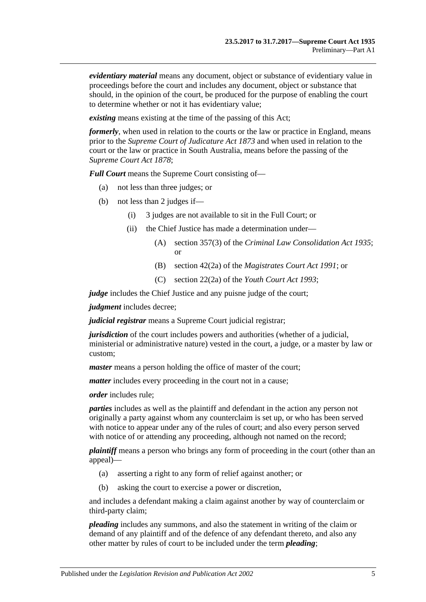*evidentiary material* means any document, object or substance of evidentiary value in proceedings before the court and includes any document, object or substance that should, in the opinion of the court, be produced for the purpose of enabling the court to determine whether or not it has evidentiary value;

*existing* means existing at the time of the passing of this Act;

*formerly*, when used in relation to the courts or the law or practice in England, means prior to the *[Supreme Court of Judicature Act](http://www.legislation.sa.gov.au/index.aspx?action=legref&type=act&legtitle=Supreme%20Court%20of%20Judicature%20Act%201873) 1873* and when used in relation to the court or the law or practice in South Australia, means before the passing of the *[Supreme Court Act](http://www.legislation.sa.gov.au/index.aspx?action=legref&type=act&legtitle=Supreme%20Court%20Act%201878) 1878*;

*Full Court* means the Supreme Court consisting of—

- (a) not less than three judges; or
- (b) not less than 2 judges if—
	- (i) 3 judges are not available to sit in the Full Court; or
	- (ii) the Chief Justice has made a determination under—
		- (A) section 357(3) of the *[Criminal Law Consolidation Act](http://www.legislation.sa.gov.au/index.aspx?action=legref&type=act&legtitle=Criminal%20Law%20Consolidation%20Act%201935) 1935*; or
		- (B) section 42(2a) of the *[Magistrates Court Act](http://www.legislation.sa.gov.au/index.aspx?action=legref&type=act&legtitle=Magistrates%20Court%20Act%201991) 1991*; or
		- (C) section 22(2a) of the *[Youth Court Act](http://www.legislation.sa.gov.au/index.aspx?action=legref&type=act&legtitle=Youth%20Court%20Act%201993) 1993*;

*judge* includes the Chief Justice and any puisne judge of the court;

*judgment* includes decree;

*judicial registrar* means a Supreme Court judicial registrar;

*jurisdiction* of the court includes powers and authorities (whether of a judicial, ministerial or administrative nature) vested in the court, a judge, or a master by law or custom;

*master* means a person holding the office of master of the court;

*matter* includes every proceeding in the court not in a cause;

*order* includes rule;

*parties* includes as well as the plaintiff and defendant in the action any person not originally a party against whom any counterclaim is set up, or who has been served with notice to appear under any of the rules of court; and also every person served with notice of or attending any proceeding, although not named on the record;

*plaintiff* means a person who brings any form of proceeding in the court (other than an appeal)—

- (a) asserting a right to any form of relief against another; or
- (b) asking the court to exercise a power or discretion,

and includes a defendant making a claim against another by way of counterclaim or third-party claim;

*pleading* includes any summons, and also the statement in writing of the claim or demand of any plaintiff and of the defence of any defendant thereto, and also any other matter by rules of court to be included under the term *pleading*;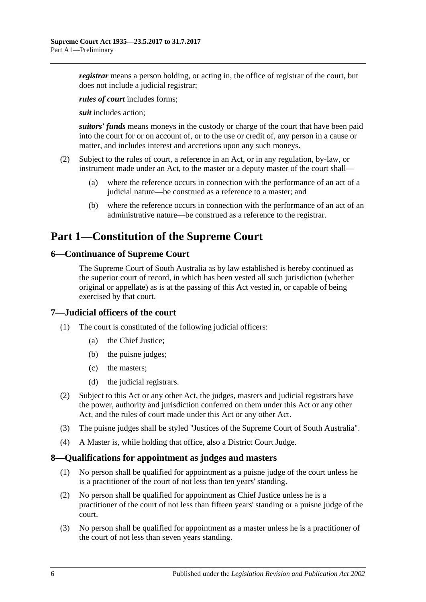*registrar* means a person holding, or acting in, the office of registrar of the court, but does not include a judicial registrar;

*rules of court* includes forms;

*suit* includes action;

*suitors' funds* means moneys in the custody or charge of the court that have been paid into the court for or on account of, or to the use or credit of, any person in a cause or matter, and includes interest and accretions upon any such moneys.

- (2) Subject to the rules of court, a reference in an Act, or in any regulation, by-law, or instrument made under an Act, to the master or a deputy master of the court shall—
	- (a) where the reference occurs in connection with the performance of an act of a judicial nature—be construed as a reference to a master; and
	- (b) where the reference occurs in connection with the performance of an act of an administrative nature—be construed as a reference to the registrar.

## <span id="page-5-0"></span>**Part 1—Constitution of the Supreme Court**

### <span id="page-5-1"></span>**6—Continuance of Supreme Court**

The Supreme Court of South Australia as by law established is hereby continued as the superior court of record, in which has been vested all such jurisdiction (whether original or appellate) as is at the passing of this Act vested in, or capable of being exercised by that court.

### <span id="page-5-2"></span>**7—Judicial officers of the court**

- (1) The court is constituted of the following judicial officers:
	- (a) the Chief Justice;
	- (b) the puisne judges;
	- (c) the masters;
	- (d) the judicial registrars.
- (2) Subject to this Act or any other Act, the judges, masters and judicial registrars have the power, authority and jurisdiction conferred on them under this Act or any other Act, and the rules of court made under this Act or any other Act.
- (3) The puisne judges shall be styled "Justices of the Supreme Court of South Australia".
- (4) A Master is, while holding that office, also a District Court Judge.

### <span id="page-5-3"></span>**8—Qualifications for appointment as judges and masters**

- (1) No person shall be qualified for appointment as a puisne judge of the court unless he is a practitioner of the court of not less than ten years' standing.
- (2) No person shall be qualified for appointment as Chief Justice unless he is a practitioner of the court of not less than fifteen years' standing or a puisne judge of the court.
- (3) No person shall be qualified for appointment as a master unless he is a practitioner of the court of not less than seven years standing.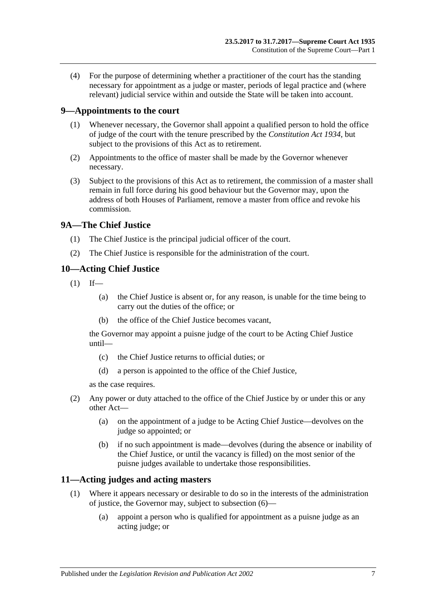(4) For the purpose of determining whether a practitioner of the court has the standing necessary for appointment as a judge or master, periods of legal practice and (where relevant) judicial service within and outside the State will be taken into account.

### <span id="page-6-0"></span>**9—Appointments to the court**

- (1) Whenever necessary, the Governor shall appoint a qualified person to hold the office of judge of the court with the tenure prescribed by the *[Constitution Act](http://www.legislation.sa.gov.au/index.aspx?action=legref&type=act&legtitle=Constitution%20Act%201934) 1934*, but subject to the provisions of this Act as to retirement.
- (2) Appointments to the office of master shall be made by the Governor whenever necessary.
- (3) Subject to the provisions of this Act as to retirement, the commission of a master shall remain in full force during his good behaviour but the Governor may, upon the address of both Houses of Parliament, remove a master from office and revoke his commission.

### <span id="page-6-1"></span>**9A—The Chief Justice**

- (1) The Chief Justice is the principal judicial officer of the court.
- (2) The Chief Justice is responsible for the administration of the court.

### <span id="page-6-2"></span>**10—Acting Chief Justice**

- $(1)$  If—
	- (a) the Chief Justice is absent or, for any reason, is unable for the time being to carry out the duties of the office; or
	- (b) the office of the Chief Justice becomes vacant,

the Governor may appoint a puisne judge of the court to be Acting Chief Justice until—

- (c) the Chief Justice returns to official duties; or
- (d) a person is appointed to the office of the Chief Justice,

as the case requires.

- (2) Any power or duty attached to the office of the Chief Justice by or under this or any other Act—
	- (a) on the appointment of a judge to be Acting Chief Justice—devolves on the judge so appointed; or
	- (b) if no such appointment is made—devolves (during the absence or inability of the Chief Justice, or until the vacancy is filled) on the most senior of the puisne judges available to undertake those responsibilities.

### <span id="page-6-4"></span><span id="page-6-3"></span>**11—Acting judges and acting masters**

- (1) Where it appears necessary or desirable to do so in the interests of the administration of justice, the Governor may, subject to [subsection](#page-7-4) (6)—
	- (a) appoint a person who is qualified for appointment as a puisne judge as an acting judge; or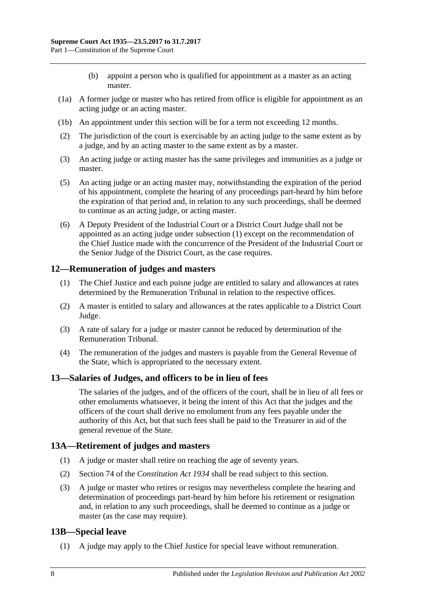- (b) appoint a person who is qualified for appointment as a master as an acting master.
- (1a) A former judge or master who has retired from office is eligible for appointment as an acting judge or an acting master.
- (1b) An appointment under this section will be for a term not exceeding 12 months.
- (2) The jurisdiction of the court is exercisable by an acting judge to the same extent as by a judge, and by an acting master to the same extent as by a master.
- (3) An acting judge or acting master has the same privileges and immunities as a judge or master.
- (5) An acting judge or an acting master may, notwithstanding the expiration of the period of his appointment, complete the hearing of any proceedings part-heard by him before the expiration of that period and, in relation to any such proceedings, shall be deemed to continue as an acting judge, or acting master.
- <span id="page-7-4"></span>(6) A Deputy President of the Industrial Court or a District Court Judge shall not be appointed as an acting judge under [subsection](#page-6-4) (1) except on the recommendation of the Chief Justice made with the concurrence of the President of the Industrial Court or the Senior Judge of the District Court, as the case requires.

### <span id="page-7-0"></span>**12—Remuneration of judges and masters**

- (1) The Chief Justice and each puisne judge are entitled to salary and allowances at rates determined by the Remuneration Tribunal in relation to the respective offices.
- (2) A master is entitled to salary and allowances at the rates applicable to a District Court Judge.
- (3) A rate of salary for a judge or master cannot be reduced by determination of the Remuneration Tribunal.
- (4) The remuneration of the judges and masters is payable from the General Revenue of the State, which is appropriated to the necessary extent.

### <span id="page-7-1"></span>**13—Salaries of Judges, and officers to be in lieu of fees**

The salaries of the judges, and of the officers of the court, shall be in lieu of all fees or other emoluments whatsoever, it being the intent of this Act that the judges and the officers of the court shall derive no emolument from any fees payable under the authority of this Act, but that such fees shall be paid to the Treasurer in aid of the general revenue of the State.

### <span id="page-7-2"></span>**13A—Retirement of judges and masters**

- (1) A judge or master shall retire on reaching the age of seventy years.
- (2) Section 74 of the *[Constitution Act](http://www.legislation.sa.gov.au/index.aspx?action=legref&type=act&legtitle=Constitution%20Act%201934) 1934* shall be read subject to this section.
- (3) A judge or master who retires or resigns may nevertheless complete the hearing and determination of proceedings part-heard by him before his retirement or resignation and, in relation to any such proceedings, shall be deemed to continue as a judge or master (as the case may require).

### <span id="page-7-3"></span>**13B—Special leave**

(1) A judge may apply to the Chief Justice for special leave without remuneration.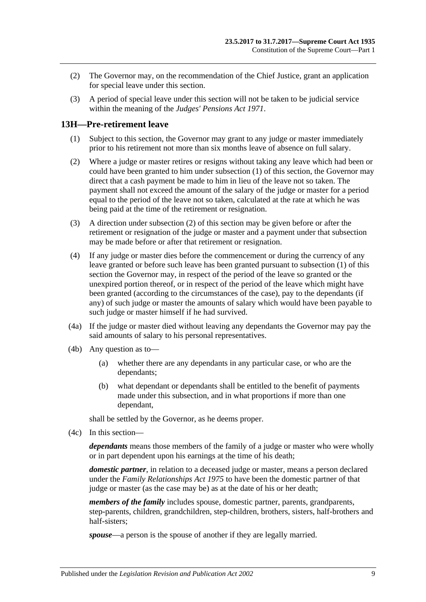- (2) The Governor may, on the recommendation of the Chief Justice, grant an application for special leave under this section.
- (3) A period of special leave under this section will not be taken to be judicial service within the meaning of the *[Judges' Pensions Act](http://www.legislation.sa.gov.au/index.aspx?action=legref&type=act&legtitle=Judges%20Pensions%20Act%201971) 1971*.

### <span id="page-8-1"></span><span id="page-8-0"></span>**13H—Pre-retirement leave**

- (1) Subject to this section, the Governor may grant to any judge or master immediately prior to his retirement not more than six months leave of absence on full salary.
- <span id="page-8-2"></span>(2) Where a judge or master retires or resigns without taking any leave which had been or could have been granted to him under [subsection](#page-8-1) (1) of this section, the Governor may direct that a cash payment be made to him in lieu of the leave not so taken. The payment shall not exceed the amount of the salary of the judge or master for a period equal to the period of the leave not so taken, calculated at the rate at which he was being paid at the time of the retirement or resignation.
- (3) A direction under [subsection](#page-8-2) (2) of this section may be given before or after the retirement or resignation of the judge or master and a payment under that subsection may be made before or after that retirement or resignation.
- (4) If any judge or master dies before the commencement or during the currency of any leave granted or before such leave has been granted pursuant to [subsection](#page-8-1) (1) of this section the Governor may, in respect of the period of the leave so granted or the unexpired portion thereof, or in respect of the period of the leave which might have been granted (according to the circumstances of the case), pay to the dependants (if any) of such judge or master the amounts of salary which would have been payable to such judge or master himself if he had survived.
- (4a) If the judge or master died without leaving any dependants the Governor may pay the said amounts of salary to his personal representatives.
- (4b) Any question as to—
	- (a) whether there are any dependants in any particular case, or who are the dependants;
	- (b) what dependant or dependants shall be entitled to the benefit of payments made under this subsection, and in what proportions if more than one dependant,

shall be settled by the Governor, as he deems proper.

(4c) In this section—

*dependants* means those members of the family of a judge or master who were wholly or in part dependent upon his earnings at the time of his death;

*domestic partner*, in relation to a deceased judge or master, means a person declared under the *[Family Relationships Act](http://www.legislation.sa.gov.au/index.aspx?action=legref&type=act&legtitle=Family%20Relationships%20Act%201975) 1975* to have been the domestic partner of that judge or master (as the case may be) as at the date of his or her death;

*members of the family* includes spouse, domestic partner, parents, grandparents, step-parents, children, grandchildren, step-children, brothers, sisters, half-brothers and half-sisters;

*spouse*—a person is the spouse of another if they are legally married.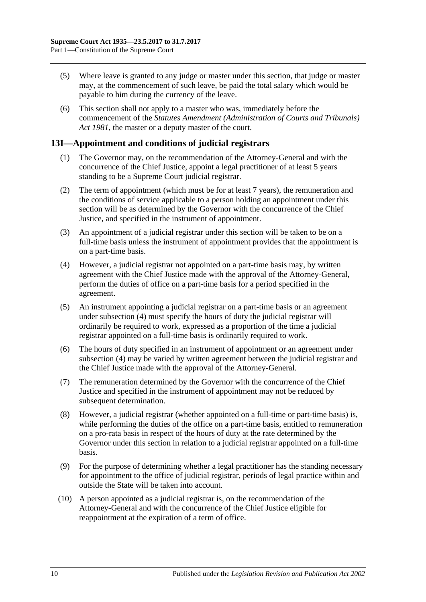- (5) Where leave is granted to any judge or master under this section, that judge or master may, at the commencement of such leave, be paid the total salary which would be payable to him during the currency of the leave.
- (6) This section shall not apply to a master who was, immediately before the commencement of the *[Statutes Amendment \(Administration of Courts and Tribunals\)](http://www.legislation.sa.gov.au/index.aspx?action=legref&type=act&legtitle=Statutes%20Amendment%20(Administration%20of%20Courts%20and%20Tribunals)%20Act%201981)  Act [1981](http://www.legislation.sa.gov.au/index.aspx?action=legref&type=act&legtitle=Statutes%20Amendment%20(Administration%20of%20Courts%20and%20Tribunals)%20Act%201981)*, the master or a deputy master of the court.

### <span id="page-9-0"></span>**13I—Appointment and conditions of judicial registrars**

- (1) The Governor may, on the recommendation of the Attorney-General and with the concurrence of the Chief Justice, appoint a legal practitioner of at least 5 years standing to be a Supreme Court judicial registrar.
- (2) The term of appointment (which must be for at least 7 years), the remuneration and the conditions of service applicable to a person holding an appointment under this section will be as determined by the Governor with the concurrence of the Chief Justice, and specified in the instrument of appointment.
- (3) An appointment of a judicial registrar under this section will be taken to be on a full-time basis unless the instrument of appointment provides that the appointment is on a part-time basis.
- <span id="page-9-1"></span>(4) However, a judicial registrar not appointed on a part-time basis may, by written agreement with the Chief Justice made with the approval of the Attorney-General, perform the duties of office on a part-time basis for a period specified in the agreement.
- (5) An instrument appointing a judicial registrar on a part-time basis or an agreement under [subsection](#page-9-1) (4) must specify the hours of duty the judicial registrar will ordinarily be required to work, expressed as a proportion of the time a judicial registrar appointed on a full-time basis is ordinarily required to work.
- (6) The hours of duty specified in an instrument of appointment or an agreement under [subsection](#page-9-1) (4) may be varied by written agreement between the judicial registrar and the Chief Justice made with the approval of the Attorney-General.
- (7) The remuneration determined by the Governor with the concurrence of the Chief Justice and specified in the instrument of appointment may not be reduced by subsequent determination.
- (8) However, a judicial registrar (whether appointed on a full-time or part-time basis) is, while performing the duties of the office on a part-time basis, entitled to remuneration on a pro-rata basis in respect of the hours of duty at the rate determined by the Governor under this section in relation to a judicial registrar appointed on a full-time basis.
- (9) For the purpose of determining whether a legal practitioner has the standing necessary for appointment to the office of judicial registrar, periods of legal practice within and outside the State will be taken into account.
- (10) A person appointed as a judicial registrar is, on the recommendation of the Attorney-General and with the concurrence of the Chief Justice eligible for reappointment at the expiration of a term of office.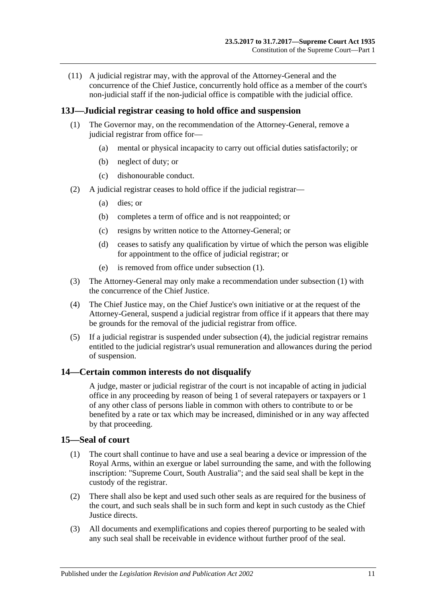(11) A judicial registrar may, with the approval of the Attorney-General and the concurrence of the Chief Justice, concurrently hold office as a member of the court's non-judicial staff if the non-judicial office is compatible with the judicial office.

### <span id="page-10-3"></span><span id="page-10-0"></span>**13J—Judicial registrar ceasing to hold office and suspension**

- (1) The Governor may, on the recommendation of the Attorney-General, remove a judicial registrar from office for—
	- (a) mental or physical incapacity to carry out official duties satisfactorily; or
	- (b) neglect of duty; or
	- (c) dishonourable conduct.
- (2) A judicial registrar ceases to hold office if the judicial registrar—
	- (a) dies; or
	- (b) completes a term of office and is not reappointed; or
	- (c) resigns by written notice to the Attorney-General; or
	- (d) ceases to satisfy any qualification by virtue of which the person was eligible for appointment to the office of judicial registrar; or
	- (e) is removed from office under [subsection](#page-10-3) (1).
- (3) The Attorney-General may only make a recommendation under [subsection](#page-10-3) (1) with the concurrence of the Chief Justice.
- <span id="page-10-4"></span>(4) The Chief Justice may, on the Chief Justice's own initiative or at the request of the Attorney-General, suspend a judicial registrar from office if it appears that there may be grounds for the removal of the judicial registrar from office.
- (5) If a judicial registrar is suspended under [subsection](#page-10-4) (4), the judicial registrar remains entitled to the judicial registrar's usual remuneration and allowances during the period of suspension.

### <span id="page-10-1"></span>**14—Certain common interests do not disqualify**

A judge, master or judicial registrar of the court is not incapable of acting in judicial office in any proceeding by reason of being 1 of several ratepayers or taxpayers or 1 of any other class of persons liable in common with others to contribute to or be benefited by a rate or tax which may be increased, diminished or in any way affected by that proceeding.

### <span id="page-10-2"></span>**15—Seal of court**

- (1) The court shall continue to have and use a seal bearing a device or impression of the Royal Arms, within an exergue or label surrounding the same, and with the following inscription: "Supreme Court, South Australia"; and the said seal shall be kept in the custody of the registrar.
- (2) There shall also be kept and used such other seals as are required for the business of the court, and such seals shall be in such form and kept in such custody as the Chief Justice directs.
- (3) All documents and exemplifications and copies thereof purporting to be sealed with any such seal shall be receivable in evidence without further proof of the seal.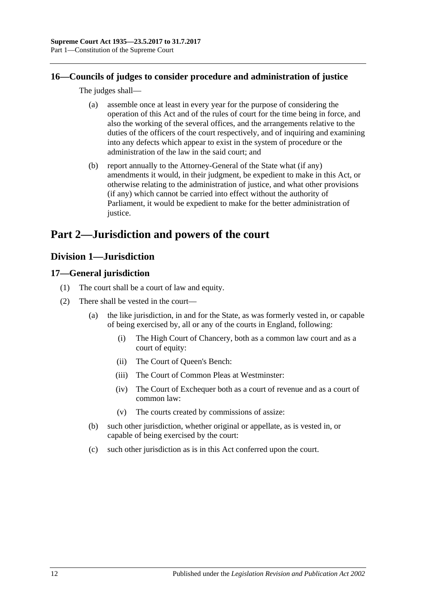### <span id="page-11-0"></span>**16—Councils of judges to consider procedure and administration of justice**

The judges shall—

- (a) assemble once at least in every year for the purpose of considering the operation of this Act and of the rules of court for the time being in force, and also the working of the several offices, and the arrangements relative to the duties of the officers of the court respectively, and of inquiring and examining into any defects which appear to exist in the system of procedure or the administration of the law in the said court; and
- (b) report annually to the Attorney-General of the State what (if any) amendments it would, in their judgment, be expedient to make in this Act, or otherwise relating to the administration of justice, and what other provisions (if any) which cannot be carried into effect without the authority of Parliament, it would be expedient to make for the better administration of justice.

# <span id="page-11-1"></span>**Part 2—Jurisdiction and powers of the court**

## <span id="page-11-2"></span>**Division 1—Jurisdiction**

### <span id="page-11-3"></span>**17—General jurisdiction**

- (1) The court shall be a court of law and equity.
- (2) There shall be vested in the court—
	- (a) the like jurisdiction, in and for the State, as was formerly vested in, or capable of being exercised by, all or any of the courts in England, following:
		- (i) The High Court of Chancery, both as a common law court and as a court of equity:
		- (ii) The Court of Queen's Bench:
		- (iii) The Court of Common Pleas at Westminster:
		- (iv) The Court of Exchequer both as a court of revenue and as a court of common law:
		- (v) The courts created by commissions of assize:
	- (b) such other jurisdiction, whether original or appellate, as is vested in, or capable of being exercised by the court:
	- (c) such other jurisdiction as is in this Act conferred upon the court.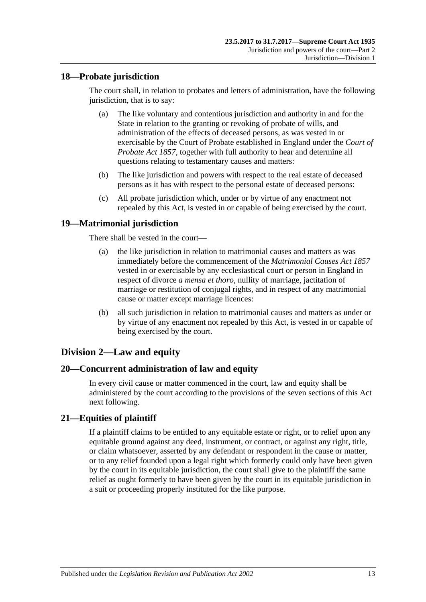### <span id="page-12-0"></span>**18—Probate jurisdiction**

The court shall, in relation to probates and letters of administration, have the following jurisdiction, that is to say:

- (a) The like voluntary and contentious jurisdiction and authority in and for the State in relation to the granting or revoking of probate of wills, and administration of the effects of deceased persons, as was vested in or exercisable by the Court of Probate established in England under the *[Court of](http://www.legislation.sa.gov.au/index.aspx?action=legref&type=act&legtitle=Court%20of%20Probate%20Act%201857)  [Probate Act](http://www.legislation.sa.gov.au/index.aspx?action=legref&type=act&legtitle=Court%20of%20Probate%20Act%201857) 1857*, together with full authority to hear and determine all questions relating to testamentary causes and matters:
- (b) The like jurisdiction and powers with respect to the real estate of deceased persons as it has with respect to the personal estate of deceased persons:
- (c) All probate jurisdiction which, under or by virtue of any enactment not repealed by this Act, is vested in or capable of being exercised by the court.

### <span id="page-12-1"></span>**19—Matrimonial jurisdiction**

There shall be vested in the court—

- (a) the like jurisdiction in relation to matrimonial causes and matters as was immediately before the commencement of the *[Matrimonial Causes Act](http://www.legislation.sa.gov.au/index.aspx?action=legref&type=act&legtitle=Matrimonial%20Causes%20Act%201857) 1857* vested in or exercisable by any ecclesiastical court or person in England in respect of divorce *a mensa et thoro*, nullity of marriage, jactitation of marriage or restitution of conjugal rights, and in respect of any matrimonial cause or matter except marriage licences:
- (b) all such jurisdiction in relation to matrimonial causes and matters as under or by virtue of any enactment not repealed by this Act, is vested in or capable of being exercised by the court.

### <span id="page-12-2"></span>**Division 2—Law and equity**

### <span id="page-12-3"></span>**20—Concurrent administration of law and equity**

In every civil cause or matter commenced in the court, law and equity shall be administered by the court according to the provisions of the seven sections of this Act next following.

### <span id="page-12-4"></span>**21—Equities of plaintiff**

If a plaintiff claims to be entitled to any equitable estate or right, or to relief upon any equitable ground against any deed, instrument, or contract, or against any right, title, or claim whatsoever, asserted by any defendant or respondent in the cause or matter, or to any relief founded upon a legal right which formerly could only have been given by the court in its equitable jurisdiction, the court shall give to the plaintiff the same relief as ought formerly to have been given by the court in its equitable jurisdiction in a suit or proceeding properly instituted for the like purpose.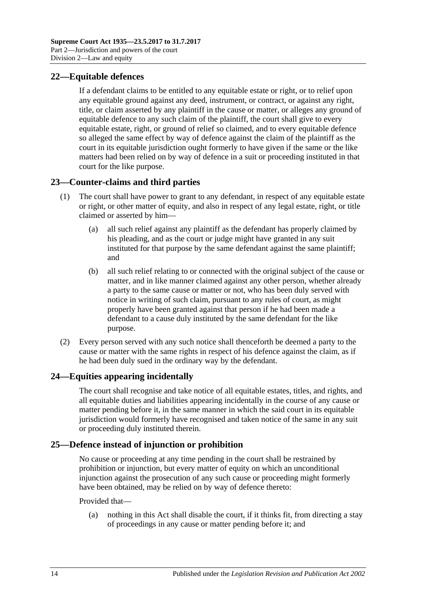### <span id="page-13-0"></span>**22—Equitable defences**

If a defendant claims to be entitled to any equitable estate or right, or to relief upon any equitable ground against any deed, instrument, or contract, or against any right, title, or claim asserted by any plaintiff in the cause or matter, or alleges any ground of equitable defence to any such claim of the plaintiff, the court shall give to every equitable estate, right, or ground of relief so claimed, and to every equitable defence so alleged the same effect by way of defence against the claim of the plaintiff as the court in its equitable jurisdiction ought formerly to have given if the same or the like matters had been relied on by way of defence in a suit or proceeding instituted in that court for the like purpose.

### <span id="page-13-1"></span>**23—Counter-claims and third parties**

- (1) The court shall have power to grant to any defendant, in respect of any equitable estate or right, or other matter of equity, and also in respect of any legal estate, right, or title claimed or asserted by him—
	- (a) all such relief against any plaintiff as the defendant has properly claimed by his pleading, and as the court or judge might have granted in any suit instituted for that purpose by the same defendant against the same plaintiff; and
	- (b) all such relief relating to or connected with the original subject of the cause or matter, and in like manner claimed against any other person, whether already a party to the same cause or matter or not, who has been duly served with notice in writing of such claim, pursuant to any rules of court, as might properly have been granted against that person if he had been made a defendant to a cause duly instituted by the same defendant for the like purpose.
- (2) Every person served with any such notice shall thenceforth be deemed a party to the cause or matter with the same rights in respect of his defence against the claim, as if he had been duly sued in the ordinary way by the defendant.

### <span id="page-13-2"></span>**24—Equities appearing incidentally**

The court shall recognise and take notice of all equitable estates, titles, and rights, and all equitable duties and liabilities appearing incidentally in the course of any cause or matter pending before it, in the same manner in which the said court in its equitable jurisdiction would formerly have recognised and taken notice of the same in any suit or proceeding duly instituted therein.

### <span id="page-13-3"></span>**25—Defence instead of injunction or prohibition**

No cause or proceeding at any time pending in the court shall be restrained by prohibition or injunction, but every matter of equity on which an unconditional injunction against the prosecution of any such cause or proceeding might formerly have been obtained, may be relied on by way of defence thereto:

### Provided that—

(a) nothing in this Act shall disable the court, if it thinks fit, from directing a stay of proceedings in any cause or matter pending before it; and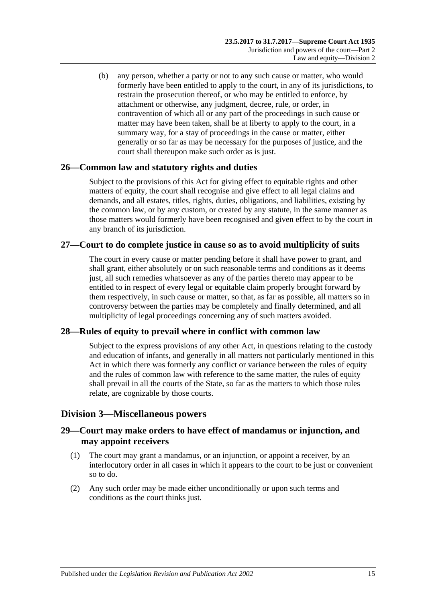(b) any person, whether a party or not to any such cause or matter, who would formerly have been entitled to apply to the court, in any of its jurisdictions, to restrain the prosecution thereof, or who may be entitled to enforce, by attachment or otherwise, any judgment, decree, rule, or order, in contravention of which all or any part of the proceedings in such cause or matter may have been taken, shall be at liberty to apply to the court, in a summary way, for a stay of proceedings in the cause or matter, either generally or so far as may be necessary for the purposes of justice, and the court shall thereupon make such order as is just.

### <span id="page-14-0"></span>**26—Common law and statutory rights and duties**

Subject to the provisions of this Act for giving effect to equitable rights and other matters of equity, the court shall recognise and give effect to all legal claims and demands, and all estates, titles, rights, duties, obligations, and liabilities, existing by the common law, or by any custom, or created by any statute, in the same manner as those matters would formerly have been recognised and given effect to by the court in any branch of its jurisdiction.

### <span id="page-14-1"></span>**27—Court to do complete justice in cause so as to avoid multiplicity of suits**

The court in every cause or matter pending before it shall have power to grant, and shall grant, either absolutely or on such reasonable terms and conditions as it deems just, all such remedies whatsoever as any of the parties thereto may appear to be entitled to in respect of every legal or equitable claim properly brought forward by them respectively, in such cause or matter, so that, as far as possible, all matters so in controversy between the parties may be completely and finally determined, and all multiplicity of legal proceedings concerning any of such matters avoided.

### <span id="page-14-2"></span>**28—Rules of equity to prevail where in conflict with common law**

Subject to the express provisions of any other Act, in questions relating to the custody and education of infants, and generally in all matters not particularly mentioned in this Act in which there was formerly any conflict or variance between the rules of equity and the rules of common law with reference to the same matter, the rules of equity shall prevail in all the courts of the State, so far as the matters to which those rules relate, are cognizable by those courts.

### <span id="page-14-3"></span>**Division 3—Miscellaneous powers**

### <span id="page-14-4"></span>**29—Court may make orders to have effect of mandamus or injunction, and may appoint receivers**

- (1) The court may grant a mandamus, or an injunction, or appoint a receiver, by an interlocutory order in all cases in which it appears to the court to be just or convenient so to do.
- (2) Any such order may be made either unconditionally or upon such terms and conditions as the court thinks just.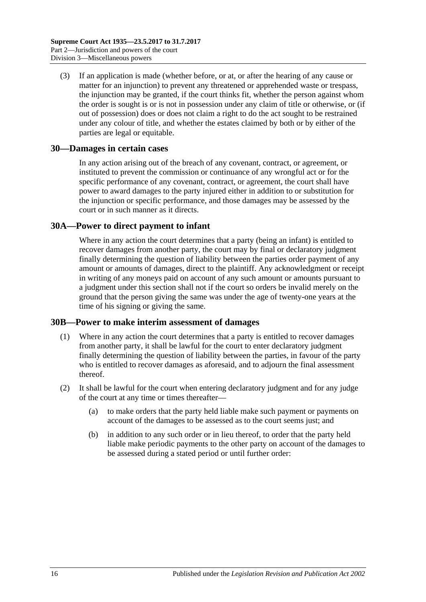(3) If an application is made (whether before, or at, or after the hearing of any cause or matter for an injunction) to prevent any threatened or apprehended waste or trespass, the injunction may be granted, if the court thinks fit, whether the person against whom the order is sought is or is not in possession under any claim of title or otherwise, or (if out of possession) does or does not claim a right to do the act sought to be restrained under any colour of title, and whether the estates claimed by both or by either of the parties are legal or equitable.

### <span id="page-15-0"></span>**30—Damages in certain cases**

In any action arising out of the breach of any covenant, contract, or agreement, or instituted to prevent the commission or continuance of any wrongful act or for the specific performance of any covenant, contract, or agreement, the court shall have power to award damages to the party injured either in addition to or substitution for the injunction or specific performance, and those damages may be assessed by the court or in such manner as it directs.

### <span id="page-15-1"></span>**30A—Power to direct payment to infant**

Where in any action the court determines that a party (being an infant) is entitled to recover damages from another party, the court may by final or declaratory judgment finally determining the question of liability between the parties order payment of any amount or amounts of damages, direct to the plaintiff. Any acknowledgment or receipt in writing of any moneys paid on account of any such amount or amounts pursuant to a judgment under this section shall not if the court so orders be invalid merely on the ground that the person giving the same was under the age of twenty-one years at the time of his signing or giving the same.

### <span id="page-15-2"></span>**30B—Power to make interim assessment of damages**

- (1) Where in any action the court determines that a party is entitled to recover damages from another party, it shall be lawful for the court to enter declaratory judgment finally determining the question of liability between the parties, in favour of the party who is entitled to recover damages as aforesaid, and to adjourn the final assessment thereof.
- <span id="page-15-3"></span>(2) It shall be lawful for the court when entering declaratory judgment and for any judge of the court at any time or times thereafter—
	- (a) to make orders that the party held liable make such payment or payments on account of the damages to be assessed as to the court seems just; and
	- (b) in addition to any such order or in lieu thereof, to order that the party held liable make periodic payments to the other party on account of the damages to be assessed during a stated period or until further order: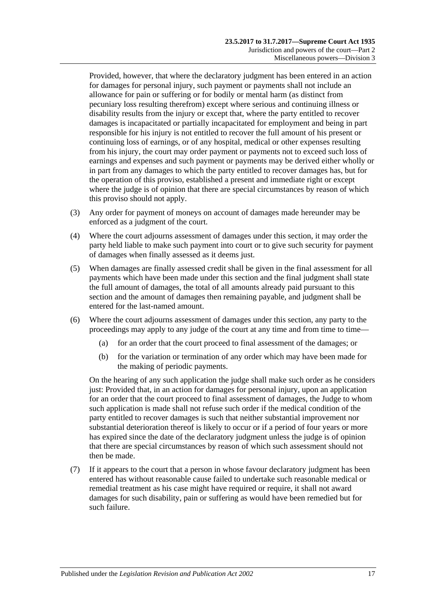Provided, however, that where the declaratory judgment has been entered in an action for damages for personal injury, such payment or payments shall not include an allowance for pain or suffering or for bodily or mental harm (as distinct from pecuniary loss resulting therefrom) except where serious and continuing illness or disability results from the injury or except that, where the party entitled to recover damages is incapacitated or partially incapacitated for employment and being in part responsible for his injury is not entitled to recover the full amount of his present or continuing loss of earnings, or of any hospital, medical or other expenses resulting from his injury, the court may order payment or payments not to exceed such loss of earnings and expenses and such payment or payments may be derived either wholly or in part from any damages to which the party entitled to recover damages has, but for the operation of this proviso, established a present and immediate right or except where the judge is of opinion that there are special circumstances by reason of which this proviso should not apply.

- (3) Any order for payment of moneys on account of damages made hereunder may be enforced as a judgment of the court.
- (4) Where the court adjourns assessment of damages under this section, it may order the party held liable to make such payment into court or to give such security for payment of damages when finally assessed as it deems just.
- (5) When damages are finally assessed credit shall be given in the final assessment for all payments which have been made under this section and the final judgment shall state the full amount of damages, the total of all amounts already paid pursuant to this section and the amount of damages then remaining payable, and judgment shall be entered for the last-named amount.
- (6) Where the court adjourns assessment of damages under this section, any party to the proceedings may apply to any judge of the court at any time and from time to time—
	- (a) for an order that the court proceed to final assessment of the damages; or
	- (b) for the variation or termination of any order which may have been made for the making of periodic payments.

On the hearing of any such application the judge shall make such order as he considers just: Provided that, in an action for damages for personal injury, upon an application for an order that the court proceed to final assessment of damages, the Judge to whom such application is made shall not refuse such order if the medical condition of the party entitled to recover damages is such that neither substantial improvement nor substantial deterioration thereof is likely to occur or if a period of four years or more has expired since the date of the declaratory judgment unless the judge is of opinion that there are special circumstances by reason of which such assessment should not then be made.

(7) If it appears to the court that a person in whose favour declaratory judgment has been entered has without reasonable cause failed to undertake such reasonable medical or remedial treatment as his case might have required or require, it shall not award damages for such disability, pain or suffering as would have been remedied but for such failure.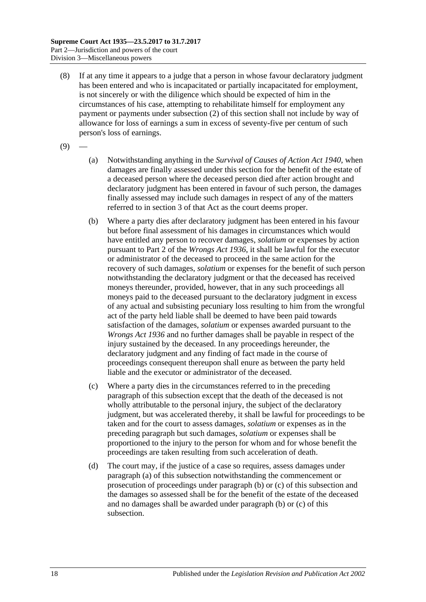- (8) If at any time it appears to a judge that a person in whose favour declaratory judgment has been entered and who is incapacitated or partially incapacitated for employment, is not sincerely or with the diligence which should be expected of him in the circumstances of his case, attempting to rehabilitate himself for employment any payment or payments under [subsection](#page-15-3) (2) of this section shall not include by way of allowance for loss of earnings a sum in excess of seventy-five per centum of such person's loss of earnings.
- <span id="page-17-0"></span> $(9)$
- (a) Notwithstanding anything in the *[Survival of Causes of Action Act](http://www.legislation.sa.gov.au/index.aspx?action=legref&type=act&legtitle=Survival%20of%20Causes%20of%20Action%20Act%201940) 1940*, when damages are finally assessed under this section for the benefit of the estate of a deceased person where the deceased person died after action brought and declaratory judgment has been entered in favour of such person, the damages finally assessed may include such damages in respect of any of the matters referred to in section 3 of that Act as the court deems proper.
- <span id="page-17-1"></span>(b) Where a party dies after declaratory judgment has been entered in his favour but before final assessment of his damages in circumstances which would have entitled any person to recover damages, *solatium* or expenses by action pursuant to Part 2 of the *[Wrongs Act](http://www.legislation.sa.gov.au/index.aspx?action=legref&type=act&legtitle=Wrongs%20Act%201936) 1936*, it shall be lawful for the executor or administrator of the deceased to proceed in the same action for the recovery of such damages, *solatium* or expenses for the benefit of such person notwithstanding the declaratory judgment or that the deceased has received moneys thereunder, provided, however, that in any such proceedings all moneys paid to the deceased pursuant to the declaratory judgment in excess of any actual and subsisting pecuniary loss resulting to him from the wrongful act of the party held liable shall be deemed to have been paid towards satisfaction of the damages, *solatium* or expenses awarded pursuant to the *[Wrongs Act](http://www.legislation.sa.gov.au/index.aspx?action=legref&type=act&legtitle=Wrongs%20Act%201936) 1936* and no further damages shall be payable in respect of the injury sustained by the deceased. In any proceedings hereunder, the declaratory judgment and any finding of fact made in the course of proceedings consequent thereupon shall enure as between the party held liable and the executor or administrator of the deceased.
- <span id="page-17-2"></span>(c) Where a party dies in the circumstances referred to in the preceding paragraph of this subsection except that the death of the deceased is not wholly attributable to the personal injury, the subject of the declaratory judgment, but was accelerated thereby, it shall be lawful for proceedings to be taken and for the court to assess damages, *solatium* or expenses as in the preceding paragraph but such damages, *solatium* or expenses shall be proportioned to the injury to the person for whom and for whose benefit the proceedings are taken resulting from such acceleration of death.
- (d) The court may, if the justice of a case so requires, assess damages under [paragraph](#page-17-0) (a) of this subsection notwithstanding the commencement or prosecution of proceedings under [paragraph](#page-17-1) (b) or [\(c\)](#page-17-2) of this subsection and the damages so assessed shall be for the benefit of the estate of the deceased and no damages shall be awarded under [paragraph](#page-17-1) (b) or [\(c\)](#page-17-2) of this subsection.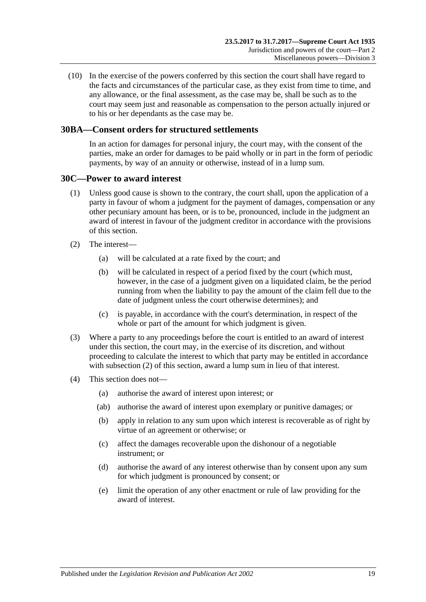(10) In the exercise of the powers conferred by this section the court shall have regard to the facts and circumstances of the particular case, as they exist from time to time, and any allowance, or the final assessment, as the case may be, shall be such as to the court may seem just and reasonable as compensation to the person actually injured or to his or her dependants as the case may be.

### <span id="page-18-0"></span>**30BA—Consent orders for structured settlements**

In an action for damages for personal injury, the court may, with the consent of the parties, make an order for damages to be paid wholly or in part in the form of periodic payments, by way of an annuity or otherwise, instead of in a lump sum.

### <span id="page-18-1"></span>**30C—Power to award interest**

- (1) Unless good cause is shown to the contrary, the court shall, upon the application of a party in favour of whom a judgment for the payment of damages, compensation or any other pecuniary amount has been, or is to be, pronounced, include in the judgment an award of interest in favour of the judgment creditor in accordance with the provisions of this section.
- <span id="page-18-2"></span>(2) The interest—
	- (a) will be calculated at a rate fixed by the court; and
	- (b) will be calculated in respect of a period fixed by the court (which must, however, in the case of a judgment given on a liquidated claim, be the period running from when the liability to pay the amount of the claim fell due to the date of judgment unless the court otherwise determines); and
	- (c) is payable, in accordance with the court's determination, in respect of the whole or part of the amount for which judgment is given.
- (3) Where a party to any proceedings before the court is entitled to an award of interest under this section, the court may, in the exercise of its discretion, and without proceeding to calculate the interest to which that party may be entitled in accordance with [subsection](#page-18-2) (2) of this section, award a lump sum in lieu of that interest.
- (4) This section does not—
	- (a) authorise the award of interest upon interest; or
	- (ab) authorise the award of interest upon exemplary or punitive damages; or
	- (b) apply in relation to any sum upon which interest is recoverable as of right by virtue of an agreement or otherwise; or
	- (c) affect the damages recoverable upon the dishonour of a negotiable instrument; or
	- (d) authorise the award of any interest otherwise than by consent upon any sum for which judgment is pronounced by consent; or
	- (e) limit the operation of any other enactment or rule of law providing for the award of interest.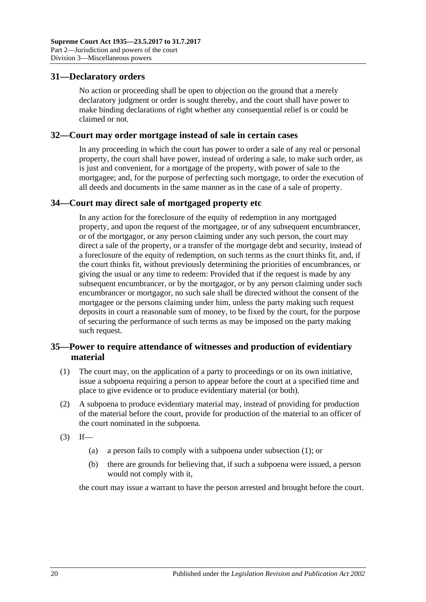### <span id="page-19-0"></span>**31—Declaratory orders**

No action or proceeding shall be open to objection on the ground that a merely declaratory judgment or order is sought thereby, and the court shall have power to make binding declarations of right whether any consequential relief is or could be claimed or not.

### <span id="page-19-1"></span>**32—Court may order mortgage instead of sale in certain cases**

In any proceeding in which the court has power to order a sale of any real or personal property, the court shall have power, instead of ordering a sale, to make such order, as is just and convenient, for a mortgage of the property, with power of sale to the mortgagee; and, for the purpose of perfecting such mortgage, to order the execution of all deeds and documents in the same manner as in the case of a sale of property.

### <span id="page-19-2"></span>**34—Court may direct sale of mortgaged property etc**

In any action for the foreclosure of the equity of redemption in any mortgaged property, and upon the request of the mortgagee, or of any subsequent encumbrancer, or of the mortgagor, or any person claiming under any such person, the court may direct a sale of the property, or a transfer of the mortgage debt and security, instead of a foreclosure of the equity of redemption, on such terms as the court thinks fit, and, if the court thinks fit, without previously determining the priorities of encumbrances, or giving the usual or any time to redeem: Provided that if the request is made by any subsequent encumbrancer, or by the mortgagor, or by any person claiming under such encumbrancer or mortgagor, no such sale shall be directed without the consent of the mortgagee or the persons claiming under him, unless the party making such request deposits in court a reasonable sum of money, to be fixed by the court, for the purpose of securing the performance of such terms as may be imposed on the party making such request.

### <span id="page-19-3"></span>**35—Power to require attendance of witnesses and production of evidentiary material**

- <span id="page-19-4"></span>(1) The court may, on the application of a party to proceedings or on its own initiative, issue a subpoena requiring a person to appear before the court at a specified time and place to give evidence or to produce evidentiary material (or both).
- (2) A subpoena to produce evidentiary material may, instead of providing for production of the material before the court, provide for production of the material to an officer of the court nominated in the subpoena.
- $(3)$  If—
	- (a) a person fails to comply with a subpoena under [subsection](#page-19-4) (1); or
	- (b) there are grounds for believing that, if such a subpoena were issued, a person would not comply with it,

the court may issue a warrant to have the person arrested and brought before the court.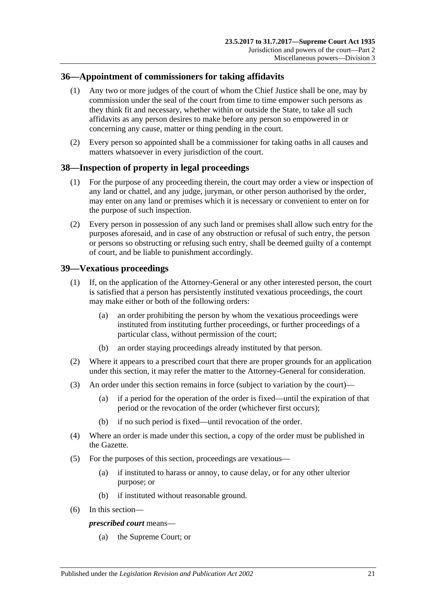### <span id="page-20-0"></span>**36—Appointment of commissioners for taking affidavits**

- (1) Any two or more judges of the court of whom the Chief Justice shall be one, may by commission under the seal of the court from time to time empower such persons as they think fit and necessary, whether within or outside the State, to take all such affidavits as any person desires to make before any person so empowered in or concerning any cause, matter or thing pending in the court.
- (2) Every person so appointed shall be a commissioner for taking oaths in all causes and matters whatsoever in every jurisdiction of the court.

### <span id="page-20-1"></span>**38—Inspection of property in legal proceedings**

- (1) For the purpose of any proceeding therein, the court may order a view or inspection of any land or chattel, and any judge, juryman, or other person authorised by the order, may enter on any land or premises which it is necessary or convenient to enter on for the purpose of such inspection.
- (2) Every person in possession of any such land or premises shall allow such entry for the purposes aforesaid, and in case of any obstruction or refusal of such entry, the person or persons so obstructing or refusing such entry, shall be deemed guilty of a contempt of court, and be liable to punishment accordingly.

### <span id="page-20-2"></span>**39—Vexatious proceedings**

- (1) If, on the application of the Attorney-General or any other interested person, the court is satisfied that a person has persistently instituted vexatious proceedings, the court may make either or both of the following orders:
	- (a) an order prohibiting the person by whom the vexatious proceedings were instituted from instituting further proceedings, or further proceedings of a particular class, without permission of the court;
	- (b) an order staying proceedings already instituted by that person.
- (2) Where it appears to a prescribed court that there are proper grounds for an application under this section, it may refer the matter to the Attorney-General for consideration.
- (3) An order under this section remains in force (subject to variation by the court)—
	- (a) if a period for the operation of the order is fixed—until the expiration of that period or the revocation of the order (whichever first occurs);
	- (b) if no such period is fixed—until revocation of the order.
- (4) Where an order is made under this section, a copy of the order must be published in the Gazette.
- (5) For the purposes of this section, proceedings are vexatious—
	- (a) if instituted to harass or annoy, to cause delay, or for any other ulterior purpose; or
	- (b) if instituted without reasonable ground.
- (6) In this section—

### *prescribed court* means—

(a) the Supreme Court; or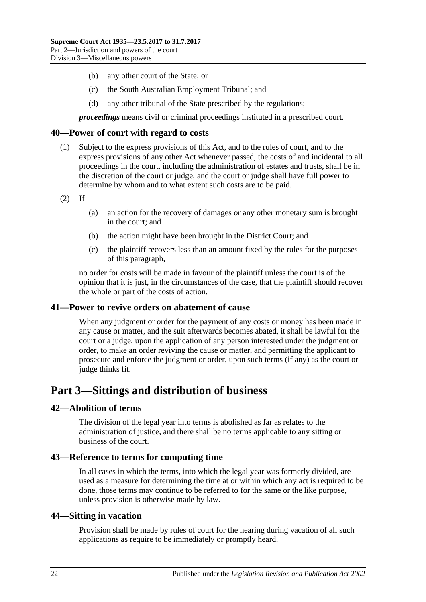- (b) any other court of the State; or
- (c) the South Australian Employment Tribunal; and
- (d) any other tribunal of the State prescribed by the regulations;

*proceedings* means civil or criminal proceedings instituted in a prescribed court.

### <span id="page-21-0"></span>**40—Power of court with regard to costs**

- (1) Subject to the express provisions of this Act, and to the rules of court, and to the express provisions of any other Act whenever passed, the costs of and incidental to all proceedings in the court, including the administration of estates and trusts, shall be in the discretion of the court or judge, and the court or judge shall have full power to determine by whom and to what extent such costs are to be paid.
- $(2)$  If—
	- (a) an action for the recovery of damages or any other monetary sum is brought in the court; and
	- (b) the action might have been brought in the District Court; and
	- (c) the plaintiff recovers less than an amount fixed by the rules for the purposes of this paragraph,

no order for costs will be made in favour of the plaintiff unless the court is of the opinion that it is just, in the circumstances of the case, that the plaintiff should recover the whole or part of the costs of action.

### <span id="page-21-1"></span>**41—Power to revive orders on abatement of cause**

When any judgment or order for the payment of any costs or money has been made in any cause or matter, and the suit afterwards becomes abated, it shall be lawful for the court or a judge, upon the application of any person interested under the judgment or order, to make an order reviving the cause or matter, and permitting the applicant to prosecute and enforce the judgment or order, upon such terms (if any) as the court or judge thinks fit.

## <span id="page-21-2"></span>**Part 3—Sittings and distribution of business**

### <span id="page-21-3"></span>**42—Abolition of terms**

The division of the legal year into terms is abolished as far as relates to the administration of justice, and there shall be no terms applicable to any sitting or business of the court.

### <span id="page-21-4"></span>**43—Reference to terms for computing time**

In all cases in which the terms, into which the legal year was formerly divided, are used as a measure for determining the time at or within which any act is required to be done, those terms may continue to be referred to for the same or the like purpose, unless provision is otherwise made by law.

### <span id="page-21-5"></span>**44—Sitting in vacation**

Provision shall be made by rules of court for the hearing during vacation of all such applications as require to be immediately or promptly heard.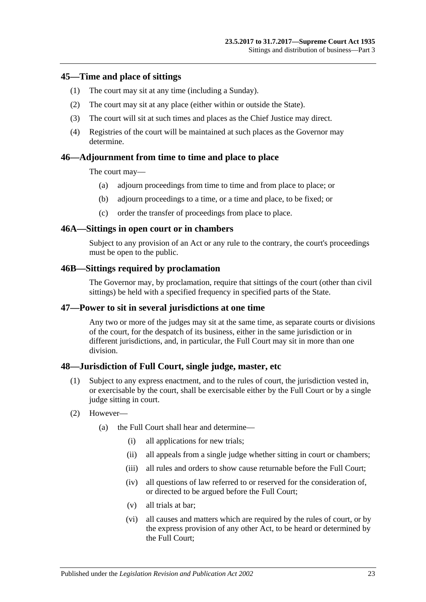### <span id="page-22-0"></span>**45—Time and place of sittings**

- (1) The court may sit at any time (including a Sunday).
- (2) The court may sit at any place (either within or outside the State).
- (3) The court will sit at such times and places as the Chief Justice may direct.
- (4) Registries of the court will be maintained at such places as the Governor may determine.

### <span id="page-22-1"></span>**46—Adjournment from time to time and place to place**

The court may—

- (a) adjourn proceedings from time to time and from place to place; or
- (b) adjourn proceedings to a time, or a time and place, to be fixed; or
- (c) order the transfer of proceedings from place to place.

#### <span id="page-22-2"></span>**46A—Sittings in open court or in chambers**

Subject to any provision of an Act or any rule to the contrary, the court's proceedings must be open to the public.

#### <span id="page-22-3"></span>**46B—Sittings required by proclamation**

The Governor may, by proclamation, require that sittings of the court (other than civil sittings) be held with a specified frequency in specified parts of the State.

### <span id="page-22-4"></span>**47—Power to sit in several jurisdictions at one time**

Any two or more of the judges may sit at the same time, as separate courts or divisions of the court, for the despatch of its business, either in the same jurisdiction or in different jurisdictions, and, in particular, the Full Court may sit in more than one division.

### <span id="page-22-5"></span>**48—Jurisdiction of Full Court, single judge, master, etc**

- (1) Subject to any express enactment, and to the rules of court, the jurisdiction vested in, or exercisable by the court, shall be exercisable either by the Full Court or by a single judge sitting in court.
- (2) However—
	- (a) the Full Court shall hear and determine—
		- (i) all applications for new trials;
		- (ii) all appeals from a single judge whether sitting in court or chambers;
		- (iii) all rules and orders to show cause returnable before the Full Court:
		- (iv) all questions of law referred to or reserved for the consideration of, or directed to be argued before the Full Court;
		- (v) all trials at bar;
		- (vi) all causes and matters which are required by the rules of court, or by the express provision of any other Act, to be heard or determined by the Full Court;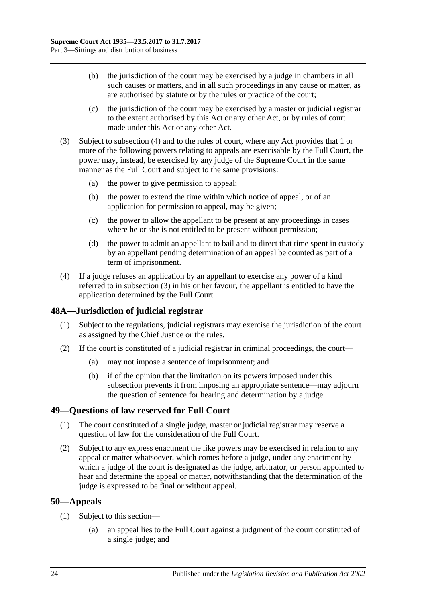- (b) the jurisdiction of the court may be exercised by a judge in chambers in all such causes or matters, and in all such proceedings in any cause or matter, as are authorised by statute or by the rules or practice of the court;
- (c) the jurisdiction of the court may be exercised by a master or judicial registrar to the extent authorised by this Act or any other Act, or by rules of court made under this Act or any other Act.
- <span id="page-23-4"></span>(3) Subject to [subsection](#page-23-3) (4) and to the rules of court, where any Act provides that 1 or more of the following powers relating to appeals are exercisable by the Full Court, the power may, instead, be exercised by any judge of the Supreme Court in the same manner as the Full Court and subject to the same provisions:
	- (a) the power to give permission to appeal;
	- (b) the power to extend the time within which notice of appeal, or of an application for permission to appeal, may be given;
	- (c) the power to allow the appellant to be present at any proceedings in cases where he or she is not entitled to be present without permission;
	- (d) the power to admit an appellant to bail and to direct that time spent in custody by an appellant pending determination of an appeal be counted as part of a term of imprisonment.
- <span id="page-23-3"></span>(4) If a judge refuses an application by an appellant to exercise any power of a kind referred to in [subsection](#page-23-4) (3) in his or her favour, the appellant is entitled to have the application determined by the Full Court.

### <span id="page-23-0"></span>**48A—Jurisdiction of judicial registrar**

- (1) Subject to the regulations, judicial registrars may exercise the jurisdiction of the court as assigned by the Chief Justice or the rules.
- (2) If the court is constituted of a judicial registrar in criminal proceedings, the court—
	- (a) may not impose a sentence of imprisonment; and
	- (b) if of the opinion that the limitation on its powers imposed under this subsection prevents it from imposing an appropriate sentence—may adjourn the question of sentence for hearing and determination by a judge.

### <span id="page-23-1"></span>**49—Questions of law reserved for Full Court**

- (1) The court constituted of a single judge, master or judicial registrar may reserve a question of law for the consideration of the Full Court.
- (2) Subject to any express enactment the like powers may be exercised in relation to any appeal or matter whatsoever, which comes before a judge, under any enactment by which a judge of the court is designated as the judge, arbitrator, or person appointed to hear and determine the appeal or matter, notwithstanding that the determination of the judge is expressed to be final or without appeal.

### <span id="page-23-2"></span>**50—Appeals**

- (1) Subject to this section—
	- (a) an appeal lies to the Full Court against a judgment of the court constituted of a single judge; and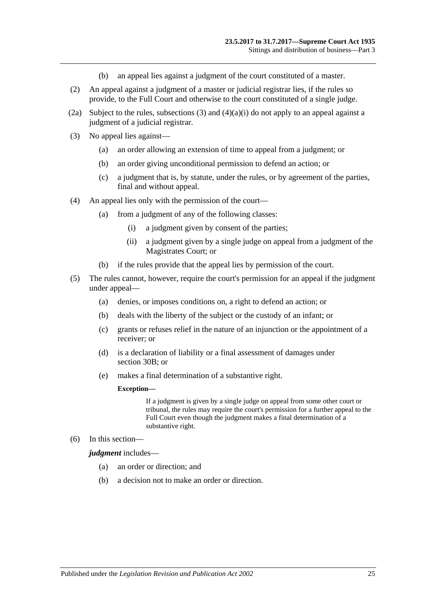- (b) an appeal lies against a judgment of the court constituted of a master.
- (2) An appeal against a judgment of a master or judicial registrar lies, if the rules so provide, to the Full Court and otherwise to the court constituted of a single judge.
- (2a) Subject to the rules, [subsections](#page-24-0) (3) and  $(4)(a)(i)$  do not apply to an appeal against a judgment of a judicial registrar.
- <span id="page-24-0"></span>(3) No appeal lies against—
	- (a) an order allowing an extension of time to appeal from a judgment; or
	- (b) an order giving unconditional permission to defend an action; or
	- (c) a judgment that is, by statute, under the rules, or by agreement of the parties, final and without appeal.
- <span id="page-24-1"></span>(4) An appeal lies only with the permission of the court—
	- (a) from a judgment of any of the following classes:
		- (i) a judgment given by consent of the parties;
		- (ii) a judgment given by a single judge on appeal from a judgment of the Magistrates Court; or
	- (b) if the rules provide that the appeal lies by permission of the court.
- (5) The rules cannot, however, require the court's permission for an appeal if the judgment under appeal—
	- (a) denies, or imposes conditions on, a right to defend an action; or
	- (b) deals with the liberty of the subject or the custody of an infant; or
	- (c) grants or refuses relief in the nature of an injunction or the appointment of a receiver; or
	- (d) is a declaration of liability or a final assessment of damages under [section](#page-15-2) 30B; or
	- (e) makes a final determination of a substantive right.

#### **Exception—**

If a judgment is given by a single judge on appeal from some other court or tribunal, the rules may require the court's permission for a further appeal to the Full Court even though the judgment makes a final determination of a substantive right.

(6) In this section—

*judgment* includes—

- (a) an order or direction; and
- (b) a decision not to make an order or direction.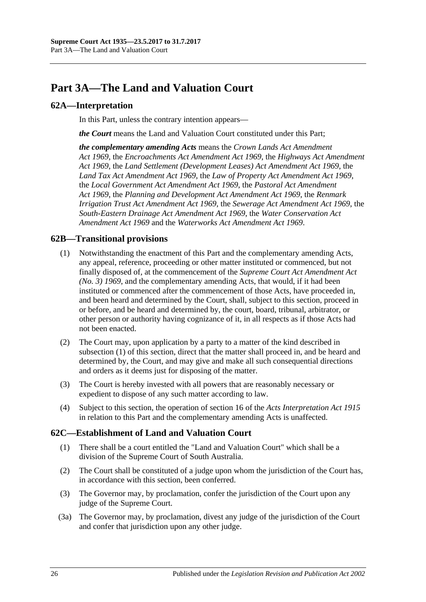# <span id="page-25-0"></span>**Part 3A—The Land and Valuation Court**

### <span id="page-25-1"></span>**62A—Interpretation**

In this Part, unless the contrary intention appears—

*the Court* means the Land and Valuation Court constituted under this Part;

*the complementary amending Acts* means the *[Crown Lands Act Amendment](http://www.legislation.sa.gov.au/index.aspx?action=legref&type=act&legtitle=Crown%20Lands%20Act%20Amendment%20Act%201969)  Act [1969](http://www.legislation.sa.gov.au/index.aspx?action=legref&type=act&legtitle=Crown%20Lands%20Act%20Amendment%20Act%201969)*, the *[Encroachments Act Amendment Act](http://www.legislation.sa.gov.au/index.aspx?action=legref&type=act&legtitle=Encroachments%20Act%20Amendment%20Act%201969) 1969*, the *[Highways Act Amendment](http://www.legislation.sa.gov.au/index.aspx?action=legref&type=act&legtitle=Highways%20Act%20Amendment%20Act%201969)  Act [1969](http://www.legislation.sa.gov.au/index.aspx?action=legref&type=act&legtitle=Highways%20Act%20Amendment%20Act%201969)*, the *[Land Settlement \(Development Leases\) Act Amendment Act](http://www.legislation.sa.gov.au/index.aspx?action=legref&type=act&legtitle=Land%20Settlement%20(Development%20Leases)%20Act%20Amendment%20Act%201969) 1969*, the *[Land Tax Act Amendment Act](http://www.legislation.sa.gov.au/index.aspx?action=legref&type=act&legtitle=Land%20Tax%20Act%20Amendment%20Act%201969) 1969*, the *[Law of Property Act Amendment Act](http://www.legislation.sa.gov.au/index.aspx?action=legref&type=act&legtitle=Law%20of%20Property%20Act%20Amendment%20Act%201969) 1969*, the *[Local Government Act Amendment Act](http://www.legislation.sa.gov.au/index.aspx?action=legref&type=act&legtitle=Local%20Government%20Act%20Amendment%20Act%201969) 1969*, the *[Pastoral Act Amendment](http://www.legislation.sa.gov.au/index.aspx?action=legref&type=act&legtitle=Pastoral%20Act%20Amendment%20Act%201969)  Act [1969](http://www.legislation.sa.gov.au/index.aspx?action=legref&type=act&legtitle=Pastoral%20Act%20Amendment%20Act%201969)*, the *[Planning and Development Act Amendment Act](http://www.legislation.sa.gov.au/index.aspx?action=legref&type=act&legtitle=Planning%20and%20Development%20Act%20Amendment%20Act%201969) 1969*, the *[Renmark](http://www.legislation.sa.gov.au/index.aspx?action=legref&type=act&legtitle=Renmark%20Irrigation%20Trust%20Act%20Amendment%20Act%201969)  [Irrigation Trust Act Amendment Act](http://www.legislation.sa.gov.au/index.aspx?action=legref&type=act&legtitle=Renmark%20Irrigation%20Trust%20Act%20Amendment%20Act%201969) 1969*, the *[Sewerage Act Amendment Act](http://www.legislation.sa.gov.au/index.aspx?action=legref&type=act&legtitle=Sewerage%20Act%20Amendment%20Act%201969) 1969*, the *[South-Eastern Drainage Act Amendment Act](http://www.legislation.sa.gov.au/index.aspx?action=legref&type=act&legtitle=South-Eastern%20Drainage%20Act%20Amendment%20Act%201969) 1969*, the *[Water Conservation Act](http://www.legislation.sa.gov.au/index.aspx?action=legref&type=act&legtitle=Water%20Conservation%20Act%20Amendment%20Act%201969)  [Amendment Act](http://www.legislation.sa.gov.au/index.aspx?action=legref&type=act&legtitle=Water%20Conservation%20Act%20Amendment%20Act%201969) 1969* and the *[Waterworks Act Amendment Act](http://www.legislation.sa.gov.au/index.aspx?action=legref&type=act&legtitle=Waterworks%20Act%20Amendment%20Act%201969) 1969*.

### <span id="page-25-4"></span><span id="page-25-2"></span>**62B—Transitional provisions**

- (1) Notwithstanding the enactment of this Part and the complementary amending Acts, any appeal, reference, proceeding or other matter instituted or commenced, but not finally disposed of, at the commencement of the *[Supreme Court Act Amendment Act](http://www.legislation.sa.gov.au/index.aspx?action=legref&type=act&legtitle=Supreme%20Court%20Act%20Amendment%20Act%20(No.%203)%201969)  [\(No. 3\)](http://www.legislation.sa.gov.au/index.aspx?action=legref&type=act&legtitle=Supreme%20Court%20Act%20Amendment%20Act%20(No.%203)%201969) 1969*, and the complementary amending Acts, that would, if it had been instituted or commenced after the commencement of those Acts, have proceeded in, and been heard and determined by the Court, shall, subject to this section, proceed in or before, and be heard and determined by, the court, board, tribunal, arbitrator, or other person or authority having cognizance of it, in all respects as if those Acts had not been enacted.
- (2) The Court may, upon application by a party to a matter of the kind described in [subsection](#page-25-4) (1) of this section, direct that the matter shall proceed in, and be heard and determined by, the Court, and may give and make all such consequential directions and orders as it deems just for disposing of the matter.
- (3) The Court is hereby invested with all powers that are reasonably necessary or expedient to dispose of any such matter according to law.
- (4) Subject to this section, the operation of section 16 of the *[Acts Interpretation Act](http://www.legislation.sa.gov.au/index.aspx?action=legref&type=act&legtitle=Acts%20Interpretation%20Act%201915) 1915* in relation to this Part and the complementary amending Acts is unaffected.

### <span id="page-25-3"></span>**62C—Establishment of Land and Valuation Court**

- (1) There shall be a court entitled the "Land and Valuation Court" which shall be a division of the Supreme Court of South Australia.
- (2) The Court shall be constituted of a judge upon whom the jurisdiction of the Court has, in accordance with this section, been conferred.
- (3) The Governor may, by proclamation, confer the jurisdiction of the Court upon any judge of the Supreme Court.
- (3a) The Governor may, by proclamation, divest any judge of the jurisdiction of the Court and confer that jurisdiction upon any other judge.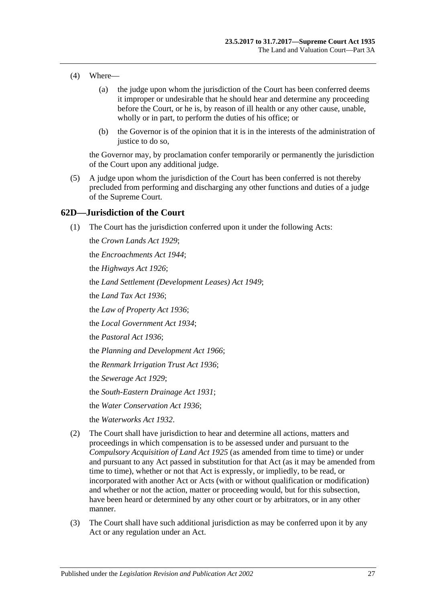- (4) Where—
	- (a) the judge upon whom the jurisdiction of the Court has been conferred deems it improper or undesirable that he should hear and determine any proceeding before the Court, or he is, by reason of ill health or any other cause, unable, wholly or in part, to perform the duties of his office; or
	- (b) the Governor is of the opinion that it is in the interests of the administration of justice to do so,

the Governor may, by proclamation confer temporarily or permanently the jurisdiction of the Court upon any additional judge.

(5) A judge upon whom the jurisdiction of the Court has been conferred is not thereby precluded from performing and discharging any other functions and duties of a judge of the Supreme Court.

### <span id="page-26-0"></span>**62D—Jurisdiction of the Court**

(1) The Court has the jurisdiction conferred upon it under the following Acts:

the *[Crown Lands Act](http://www.legislation.sa.gov.au/index.aspx?action=legref&type=act&legtitle=Crown%20Lands%20Act%201929) 1929*; the *[Encroachments Act](http://www.legislation.sa.gov.au/index.aspx?action=legref&type=act&legtitle=Encroachments%20Act%201944) 1944*; the *[Highways Act](http://www.legislation.sa.gov.au/index.aspx?action=legref&type=act&legtitle=Highways%20Act%201926) 1926*; the *[Land Settlement \(Development Leases\) Act](http://www.legislation.sa.gov.au/index.aspx?action=legref&type=act&legtitle=Land%20Settlement%20(Development%20Leases)%20Act%201949) 1949*; the *[Land Tax Act](http://www.legislation.sa.gov.au/index.aspx?action=legref&type=act&legtitle=Land%20Tax%20Act%201936) 1936*; the *[Law of Property Act](http://www.legislation.sa.gov.au/index.aspx?action=legref&type=act&legtitle=Law%20of%20Property%20Act%201936) 1936*; the *[Local Government Act](http://www.legislation.sa.gov.au/index.aspx?action=legref&type=act&legtitle=Local%20Government%20Act%201934) 1934*; the *[Pastoral Act](http://www.legislation.sa.gov.au/index.aspx?action=legref&type=act&legtitle=Pastoral%20Act%201936) 1936*; the *[Planning and Development Act](http://www.legislation.sa.gov.au/index.aspx?action=legref&type=act&legtitle=Planning%20and%20Development%20Act%201966) 1966*; the *[Renmark Irrigation Trust Act](http://www.legislation.sa.gov.au/index.aspx?action=legref&type=act&legtitle=Renmark%20Irrigation%20Trust%20Act%201936) 1936*; the *[Sewerage Act](http://www.legislation.sa.gov.au/index.aspx?action=legref&type=act&legtitle=Sewerage%20Act%201929) 1929*; the *[South-Eastern Drainage Act](http://www.legislation.sa.gov.au/index.aspx?action=legref&type=act&legtitle=South-Eastern%20Drainage%20Act%201931) 1931*; the *[Water Conservation Act](http://www.legislation.sa.gov.au/index.aspx?action=legref&type=act&legtitle=Water%20Conservation%20Act%201936) 1936*; the *[Waterworks Act](http://www.legislation.sa.gov.au/index.aspx?action=legref&type=act&legtitle=Waterworks%20Act%201932) 1932*.

- (2) The Court shall have jurisdiction to hear and determine all actions, matters and proceedings in which compensation is to be assessed under and pursuant to the *[Compulsory Acquisition of Land Act](http://www.legislation.sa.gov.au/index.aspx?action=legref&type=act&legtitle=Compulsory%20Acquisition%20of%20Land%20Act%201925) 1925* (as amended from time to time) or under and pursuant to any Act passed in substitution for that Act (as it may be amended from time to time), whether or not that Act is expressly, or impliedly, to be read, or incorporated with another Act or Acts (with or without qualification or modification) and whether or not the action, matter or proceeding would, but for this subsection, have been heard or determined by any other court or by arbitrators, or in any other manner.
- (3) The Court shall have such additional jurisdiction as may be conferred upon it by any Act or any regulation under an Act.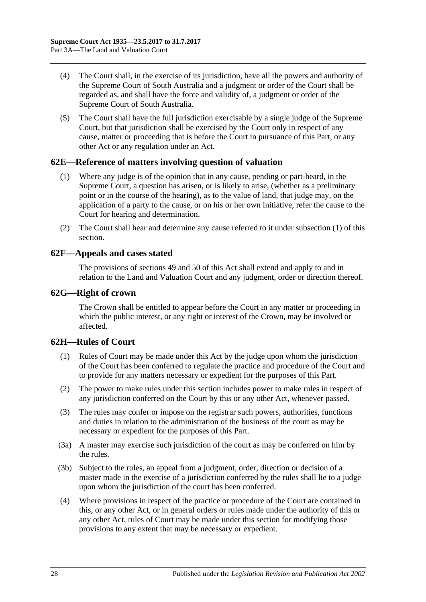- (4) The Court shall, in the exercise of its jurisdiction, have all the powers and authority of the Supreme Court of South Australia and a judgment or order of the Court shall be regarded as, and shall have the force and validity of, a judgment or order of the Supreme Court of South Australia.
- (5) The Court shall have the full jurisdiction exercisable by a single judge of the Supreme Court, but that jurisdiction shall be exercised by the Court only in respect of any cause, matter or proceeding that is before the Court in pursuance of this Part, or any other Act or any regulation under an Act.

### <span id="page-27-4"></span><span id="page-27-0"></span>**62E—Reference of matters involving question of valuation**

- (1) Where any judge is of the opinion that in any cause, pending or part-heard, in the Supreme Court, a question has arisen, or is likely to arise, (whether as a preliminary point or in the course of the hearing), as to the value of land, that judge may, on the application of a party to the cause, or on his or her own initiative, refer the cause to the Court for hearing and determination.
- (2) The Court shall hear and determine any cause referred to it under [subsection](#page-27-4) (1) of this section.

### <span id="page-27-1"></span>**62F—Appeals and cases stated**

The provisions of [sections](#page-23-1) 49 and [50](#page-23-2) of this Act shall extend and apply to and in relation to the Land and Valuation Court and any judgment, order or direction thereof.

### <span id="page-27-2"></span>**62G—Right of crown**

The Crown shall be entitled to appear before the Court in any matter or proceeding in which the public interest, or any right or interest of the Crown, may be involved or affected.

### <span id="page-27-3"></span>**62H—Rules of Court**

- (1) Rules of Court may be made under this Act by the judge upon whom the jurisdiction of the Court has been conferred to regulate the practice and procedure of the Court and to provide for any matters necessary or expedient for the purposes of this Part.
- (2) The power to make rules under this section includes power to make rules in respect of any jurisdiction conferred on the Court by this or any other Act, whenever passed.
- (3) The rules may confer or impose on the registrar such powers, authorities, functions and duties in relation to the administration of the business of the court as may be necessary or expedient for the purposes of this Part.
- (3a) A master may exercise such jurisdiction of the court as may be conferred on him by the rules.
- (3b) Subject to the rules, an appeal from a judgment, order, direction or decision of a master made in the exercise of a jurisdiction conferred by the rules shall lie to a judge upon whom the jurisdiction of the court has been conferred.
- (4) Where provisions in respect of the practice or procedure of the Court are contained in this, or any other Act, or in general orders or rules made under the authority of this or any other Act, rules of Court may be made under this section for modifying those provisions to any extent that may be necessary or expedient.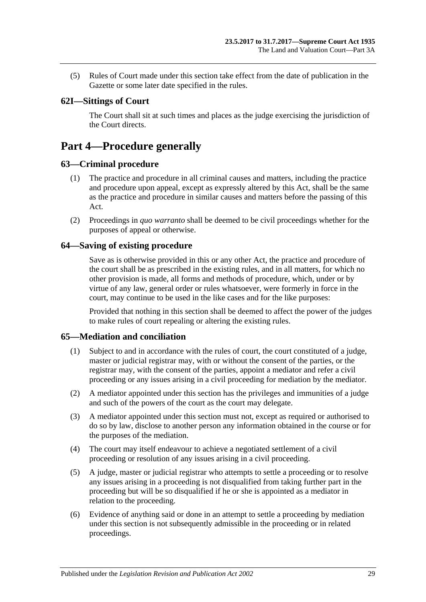(5) Rules of Court made under this section take effect from the date of publication in the Gazette or some later date specified in the rules.

### <span id="page-28-0"></span>**62I—Sittings of Court**

The Court shall sit at such times and places as the judge exercising the jurisdiction of the Court directs.

## <span id="page-28-1"></span>**Part 4—Procedure generally**

### <span id="page-28-2"></span>**63—Criminal procedure**

- (1) The practice and procedure in all criminal causes and matters, including the practice and procedure upon appeal, except as expressly altered by this Act, shall be the same as the practice and procedure in similar causes and matters before the passing of this Act.
- (2) Proceedings in *quo warranto* shall be deemed to be civil proceedings whether for the purposes of appeal or otherwise.

### <span id="page-28-3"></span>**64—Saving of existing procedure**

Save as is otherwise provided in this or any other Act, the practice and procedure of the court shall be as prescribed in the existing rules, and in all matters, for which no other provision is made, all forms and methods of procedure, which, under or by virtue of any law, general order or rules whatsoever, were formerly in force in the court, may continue to be used in the like cases and for the like purposes:

Provided that nothing in this section shall be deemed to affect the power of the judges to make rules of court repealing or altering the existing rules.

### <span id="page-28-4"></span>**65—Mediation and conciliation**

- (1) Subject to and in accordance with the rules of court, the court constituted of a judge, master or judicial registrar may, with or without the consent of the parties, or the registrar may, with the consent of the parties, appoint a mediator and refer a civil proceeding or any issues arising in a civil proceeding for mediation by the mediator.
- (2) A mediator appointed under this section has the privileges and immunities of a judge and such of the powers of the court as the court may delegate.
- (3) A mediator appointed under this section must not, except as required or authorised to do so by law, disclose to another person any information obtained in the course or for the purposes of the mediation.
- (4) The court may itself endeavour to achieve a negotiated settlement of a civil proceeding or resolution of any issues arising in a civil proceeding.
- (5) A judge, master or judicial registrar who attempts to settle a proceeding or to resolve any issues arising in a proceeding is not disqualified from taking further part in the proceeding but will be so disqualified if he or she is appointed as a mediator in relation to the proceeding.
- (6) Evidence of anything said or done in an attempt to settle a proceeding by mediation under this section is not subsequently admissible in the proceeding or in related proceedings.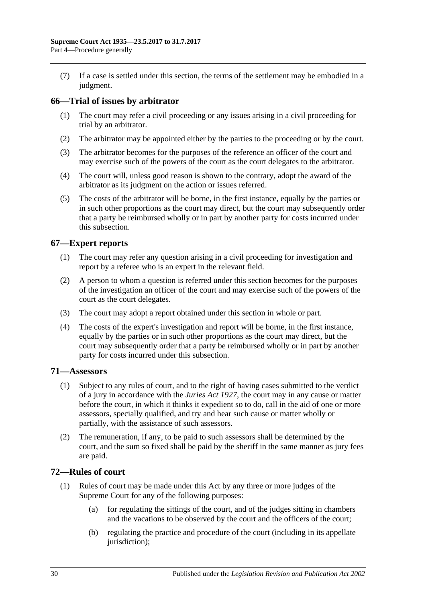(7) If a case is settled under this section, the terms of the settlement may be embodied in a judgment.

### <span id="page-29-0"></span>**66—Trial of issues by arbitrator**

- (1) The court may refer a civil proceeding or any issues arising in a civil proceeding for trial by an arbitrator.
- (2) The arbitrator may be appointed either by the parties to the proceeding or by the court.
- (3) The arbitrator becomes for the purposes of the reference an officer of the court and may exercise such of the powers of the court as the court delegates to the arbitrator.
- (4) The court will, unless good reason is shown to the contrary, adopt the award of the arbitrator as its judgment on the action or issues referred.
- (5) The costs of the arbitrator will be borne, in the first instance, equally by the parties or in such other proportions as the court may direct, but the court may subsequently order that a party be reimbursed wholly or in part by another party for costs incurred under this subsection.

### <span id="page-29-1"></span>**67—Expert reports**

- (1) The court may refer any question arising in a civil proceeding for investigation and report by a referee who is an expert in the relevant field.
- (2) A person to whom a question is referred under this section becomes for the purposes of the investigation an officer of the court and may exercise such of the powers of the court as the court delegates.
- (3) The court may adopt a report obtained under this section in whole or part.
- (4) The costs of the expert's investigation and report will be borne, in the first instance, equally by the parties or in such other proportions as the court may direct, but the court may subsequently order that a party be reimbursed wholly or in part by another party for costs incurred under this subsection.

### <span id="page-29-2"></span>**71—Assessors**

- (1) Subject to any rules of court, and to the right of having cases submitted to the verdict of a jury in accordance with the *[Juries Act](http://www.legislation.sa.gov.au/index.aspx?action=legref&type=act&legtitle=Juries%20Act%201927) 1927*, the court may in any cause or matter before the court, in which it thinks it expedient so to do, call in the aid of one or more assessors, specially qualified, and try and hear such cause or matter wholly or partially, with the assistance of such assessors.
- (2) The remuneration, if any, to be paid to such assessors shall be determined by the court, and the sum so fixed shall be paid by the sheriff in the same manner as jury fees are paid.

### <span id="page-29-3"></span>**72—Rules of court**

- (1) Rules of court may be made under this Act by any three or more judges of the Supreme Court for any of the following purposes:
	- (a) for regulating the sittings of the court, and of the judges sitting in chambers and the vacations to be observed by the court and the officers of the court;
	- (b) regulating the practice and procedure of the court (including in its appellate jurisdiction);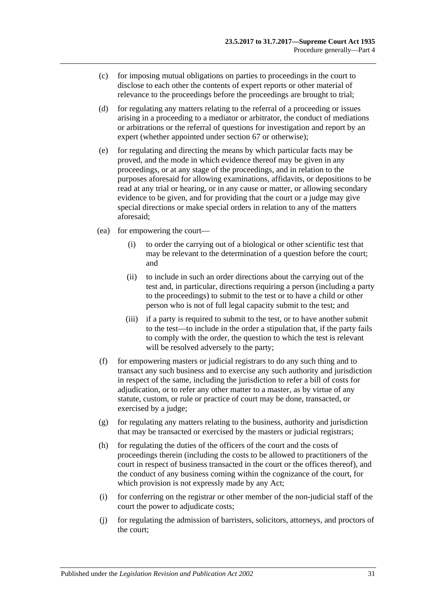- (c) for imposing mutual obligations on parties to proceedings in the court to disclose to each other the contents of expert reports or other material of relevance to the proceedings before the proceedings are brought to trial;
- (d) for regulating any matters relating to the referral of a proceeding or issues arising in a proceeding to a mediator or arbitrator, the conduct of mediations or arbitrations or the referral of questions for investigation and report by an expert (whether appointed under [section](#page-29-1) 67 or otherwise);
- (e) for regulating and directing the means by which particular facts may be proved, and the mode in which evidence thereof may be given in any proceedings, or at any stage of the proceedings, and in relation to the purposes aforesaid for allowing examinations, affidavits, or depositions to be read at any trial or hearing, or in any cause or matter, or allowing secondary evidence to be given, and for providing that the court or a judge may give special directions or make special orders in relation to any of the matters aforesaid;
- (ea) for empowering the court—
	- (i) to order the carrying out of a biological or other scientific test that may be relevant to the determination of a question before the court; and
	- (ii) to include in such an order directions about the carrying out of the test and, in particular, directions requiring a person (including a party to the proceedings) to submit to the test or to have a child or other person who is not of full legal capacity submit to the test; and
	- (iii) if a party is required to submit to the test, or to have another submit to the test—to include in the order a stipulation that, if the party fails to comply with the order, the question to which the test is relevant will be resolved adversely to the party;
- (f) for empowering masters or judicial registrars to do any such thing and to transact any such business and to exercise any such authority and jurisdiction in respect of the same, including the jurisdiction to refer a bill of costs for adjudication, or to refer any other matter to a master, as by virtue of any statute, custom, or rule or practice of court may be done, transacted, or exercised by a judge;
- $(g)$  for regulating any matters relating to the business, authority and jurisdiction that may be transacted or exercised by the masters or judicial registrars;
- (h) for regulating the duties of the officers of the court and the costs of proceedings therein (including the costs to be allowed to practitioners of the court in respect of business transacted in the court or the offices thereof), and the conduct of any business coming within the cognizance of the court, for which provision is not expressly made by any Act;
- (i) for conferring on the registrar or other member of the non-judicial staff of the court the power to adjudicate costs;
- (j) for regulating the admission of barristers, solicitors, attorneys, and proctors of the court;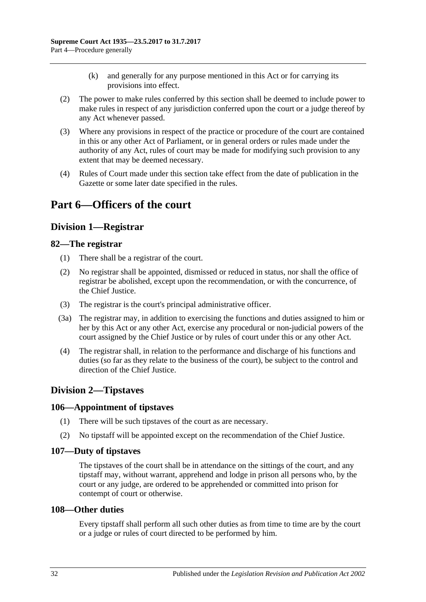- (k) and generally for any purpose mentioned in this Act or for carrying its provisions into effect.
- (2) The power to make rules conferred by this section shall be deemed to include power to make rules in respect of any jurisdiction conferred upon the court or a judge thereof by any Act whenever passed.
- (3) Where any provisions in respect of the practice or procedure of the court are contained in this or any other Act of Parliament, or in general orders or rules made under the authority of any Act, rules of court may be made for modifying such provision to any extent that may be deemed necessary.
- (4) Rules of Court made under this section take effect from the date of publication in the Gazette or some later date specified in the rules.

## <span id="page-31-1"></span><span id="page-31-0"></span>**Part 6—Officers of the court**

## **Division 1—Registrar**

### <span id="page-31-2"></span>**82—The registrar**

- (1) There shall be a registrar of the court.
- (2) No registrar shall be appointed, dismissed or reduced in status, nor shall the office of registrar be abolished, except upon the recommendation, or with the concurrence, of the Chief Justice.
- (3) The registrar is the court's principal administrative officer.
- (3a) The registrar may, in addition to exercising the functions and duties assigned to him or her by this Act or any other Act, exercise any procedural or non-judicial powers of the court assigned by the Chief Justice or by rules of court under this or any other Act.
- (4) The registrar shall, in relation to the performance and discharge of his functions and duties (so far as they relate to the business of the court), be subject to the control and direction of the Chief Justice.

## <span id="page-31-3"></span>**Division 2—Tipstaves**

### <span id="page-31-4"></span>**106—Appointment of tipstaves**

- (1) There will be such tipstaves of the court as are necessary.
- (2) No tipstaff will be appointed except on the recommendation of the Chief Justice.

### <span id="page-31-5"></span>**107—Duty of tipstaves**

The tipstaves of the court shall be in attendance on the sittings of the court, and any tipstaff may, without warrant, apprehend and lodge in prison all persons who, by the court or any judge, are ordered to be apprehended or committed into prison for contempt of court or otherwise.

### <span id="page-31-6"></span>**108—Other duties**

Every tipstaff shall perform all such other duties as from time to time are by the court or a judge or rules of court directed to be performed by him.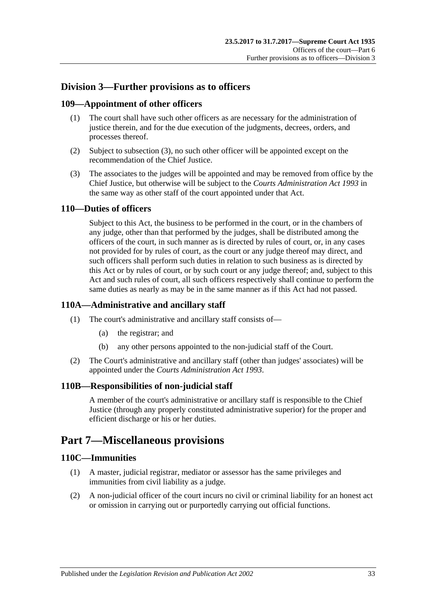## <span id="page-32-0"></span>**Division 3—Further provisions as to officers**

### <span id="page-32-1"></span>**109—Appointment of other officers**

- (1) The court shall have such other officers as are necessary for the administration of justice therein, and for the due execution of the judgments, decrees, orders, and processes thereof.
- (2) Subject to [subsection](#page-32-7) (3), no such other officer will be appointed except on the recommendation of the Chief Justice.
- <span id="page-32-7"></span>(3) The associates to the judges will be appointed and may be removed from office by the Chief Justice, but otherwise will be subject to the *[Courts Administration Act](http://www.legislation.sa.gov.au/index.aspx?action=legref&type=act&legtitle=Courts%20Administration%20Act%201993) 1993* in the same way as other staff of the court appointed under that Act.

### <span id="page-32-2"></span>**110—Duties of officers**

Subject to this Act, the business to be performed in the court, or in the chambers of any judge, other than that performed by the judges, shall be distributed among the officers of the court, in such manner as is directed by rules of court, or, in any cases not provided for by rules of court, as the court or any judge thereof may direct, and such officers shall perform such duties in relation to such business as is directed by this Act or by rules of court, or by such court or any judge thereof; and, subject to this Act and such rules of court, all such officers respectively shall continue to perform the same duties as nearly as may be in the same manner as if this Act had not passed.

### <span id="page-32-3"></span>**110A—Administrative and ancillary staff**

- (1) The court's administrative and ancillary staff consists of—
	- (a) the registrar; and
	- (b) any other persons appointed to the non-judicial staff of the Court.
- (2) The Court's administrative and ancillary staff (other than judges' associates) will be appointed under the *[Courts Administration Act](http://www.legislation.sa.gov.au/index.aspx?action=legref&type=act&legtitle=Courts%20Administration%20Act%201993) 1993*.

### <span id="page-32-4"></span>**110B—Responsibilities of non-judicial staff**

A member of the court's administrative or ancillary staff is responsible to the Chief Justice (through any properly constituted administrative superior) for the proper and efficient discharge or his or her duties.

## <span id="page-32-5"></span>**Part 7—Miscellaneous provisions**

### <span id="page-32-6"></span>**110C—Immunities**

- (1) A master, judicial registrar, mediator or assessor has the same privileges and immunities from civil liability as a judge.
- (2) A non-judicial officer of the court incurs no civil or criminal liability for an honest act or omission in carrying out or purportedly carrying out official functions.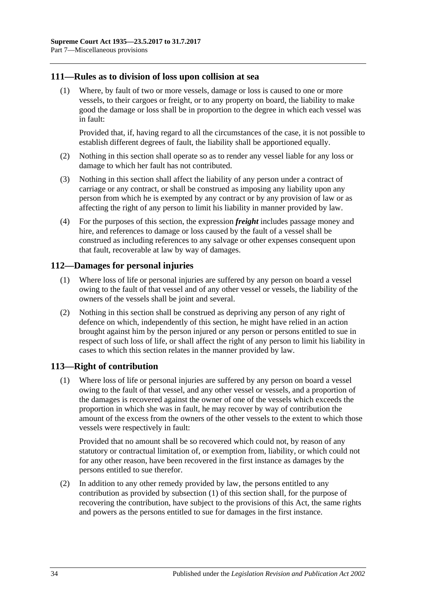### <span id="page-33-0"></span>**111—Rules as to division of loss upon collision at sea**

(1) Where, by fault of two or more vessels, damage or loss is caused to one or more vessels, to their cargoes or freight, or to any property on board, the liability to make good the damage or loss shall be in proportion to the degree in which each vessel was in fault:

Provided that, if, having regard to all the circumstances of the case, it is not possible to establish different degrees of fault, the liability shall be apportioned equally.

- (2) Nothing in this section shall operate so as to render any vessel liable for any loss or damage to which her fault has not contributed.
- (3) Nothing in this section shall affect the liability of any person under a contract of carriage or any contract, or shall be construed as imposing any liability upon any person from which he is exempted by any contract or by any provision of law or as affecting the right of any person to limit his liability in manner provided by law.
- (4) For the purposes of this section, the expression *freight* includes passage money and hire, and references to damage or loss caused by the fault of a vessel shall be construed as including references to any salvage or other expenses consequent upon that fault, recoverable at law by way of damages.

### <span id="page-33-1"></span>**112—Damages for personal injuries**

- (1) Where loss of life or personal injuries are suffered by any person on board a vessel owing to the fault of that vessel and of any other vessel or vessels, the liability of the owners of the vessels shall be joint and several.
- (2) Nothing in this section shall be construed as depriving any person of any right of defence on which, independently of this section, he might have relied in an action brought against him by the person injured or any person or persons entitled to sue in respect of such loss of life, or shall affect the right of any person to limit his liability in cases to which this section relates in the manner provided by law.

### <span id="page-33-3"></span><span id="page-33-2"></span>**113—Right of contribution**

(1) Where loss of life or personal injuries are suffered by any person on board a vessel owing to the fault of that vessel, and any other vessel or vessels, and a proportion of the damages is recovered against the owner of one of the vessels which exceeds the proportion in which she was in fault, he may recover by way of contribution the amount of the excess from the owners of the other vessels to the extent to which those vessels were respectively in fault:

Provided that no amount shall be so recovered which could not, by reason of any statutory or contractual limitation of, or exemption from, liability, or which could not for any other reason, have been recovered in the first instance as damages by the persons entitled to sue therefor.

(2) In addition to any other remedy provided by law, the persons entitled to any contribution as provided by [subsection](#page-33-3) (1) of this section shall, for the purpose of recovering the contribution, have subject to the provisions of this Act, the same rights and powers as the persons entitled to sue for damages in the first instance.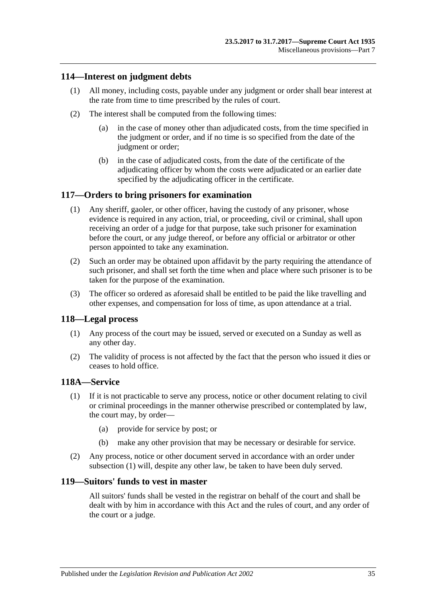### <span id="page-34-0"></span>**114—Interest on judgment debts**

- (1) All money, including costs, payable under any judgment or order shall bear interest at the rate from time to time prescribed by the rules of court.
- (2) The interest shall be computed from the following times:
	- (a) in the case of money other than adjudicated costs, from the time specified in the judgment or order, and if no time is so specified from the date of the judgment or order;
	- (b) in the case of adjudicated costs, from the date of the certificate of the adjudicating officer by whom the costs were adjudicated or an earlier date specified by the adjudicating officer in the certificate.

### <span id="page-34-1"></span>**117—Orders to bring prisoners for examination**

- (1) Any sheriff, gaoler, or other officer, having the custody of any prisoner, whose evidence is required in any action, trial, or proceeding, civil or criminal, shall upon receiving an order of a judge for that purpose, take such prisoner for examination before the court, or any judge thereof, or before any official or arbitrator or other person appointed to take any examination.
- (2) Such an order may be obtained upon affidavit by the party requiring the attendance of such prisoner, and shall set forth the time when and place where such prisoner is to be taken for the purpose of the examination.
- (3) The officer so ordered as aforesaid shall be entitled to be paid the like travelling and other expenses, and compensation for loss of time, as upon attendance at a trial.

### <span id="page-34-2"></span>**118—Legal process**

- (1) Any process of the court may be issued, served or executed on a Sunday as well as any other day.
- (2) The validity of process is not affected by the fact that the person who issued it dies or ceases to hold office.

### <span id="page-34-5"></span><span id="page-34-3"></span>**118A—Service**

- (1) If it is not practicable to serve any process, notice or other document relating to civil or criminal proceedings in the manner otherwise prescribed or contemplated by law, the court may, by order—
	- (a) provide for service by post; or
	- (b) make any other provision that may be necessary or desirable for service.
- (2) Any process, notice or other document served in accordance with an order under [subsection](#page-34-5) (1) will, despite any other law, be taken to have been duly served.

### <span id="page-34-4"></span>**119—Suitors' funds to vest in master**

All suitors' funds shall be vested in the registrar on behalf of the court and shall be dealt with by him in accordance with this Act and the rules of court, and any order of the court or a judge.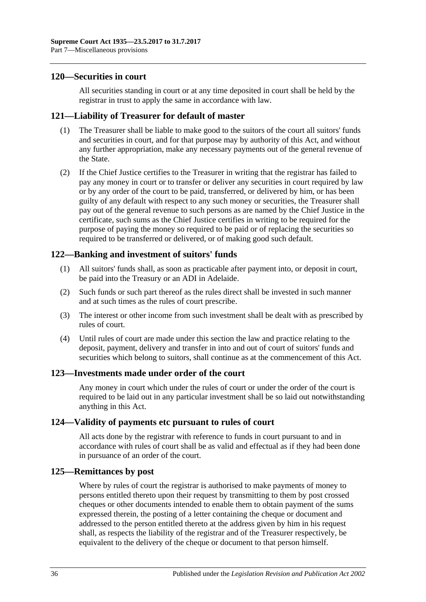### <span id="page-35-0"></span>**120—Securities in court**

All securities standing in court or at any time deposited in court shall be held by the registrar in trust to apply the same in accordance with law.

### <span id="page-35-1"></span>**121—Liability of Treasurer for default of master**

- (1) The Treasurer shall be liable to make good to the suitors of the court all suitors' funds and securities in court, and for that purpose may by authority of this Act, and without any further appropriation, make any necessary payments out of the general revenue of the State.
- (2) If the Chief Justice certifies to the Treasurer in writing that the registrar has failed to pay any money in court or to transfer or deliver any securities in court required by law or by any order of the court to be paid, transferred, or delivered by him, or has been guilty of any default with respect to any such money or securities, the Treasurer shall pay out of the general revenue to such persons as are named by the Chief Justice in the certificate, such sums as the Chief Justice certifies in writing to be required for the purpose of paying the money so required to be paid or of replacing the securities so required to be transferred or delivered, or of making good such default.

### <span id="page-35-2"></span>**122—Banking and investment of suitors' funds**

- (1) All suitors' funds shall, as soon as practicable after payment into, or deposit in court, be paid into the Treasury or an ADI in Adelaide.
- (2) Such funds or such part thereof as the rules direct shall be invested in such manner and at such times as the rules of court prescribe.
- (3) The interest or other income from such investment shall be dealt with as prescribed by rules of court.
- (4) Until rules of court are made under this section the law and practice relating to the deposit, payment, delivery and transfer in into and out of court of suitors' funds and securities which belong to suitors, shall continue as at the commencement of this Act.

### <span id="page-35-3"></span>**123—Investments made under order of the court**

Any money in court which under the rules of court or under the order of the court is required to be laid out in any particular investment shall be so laid out notwithstanding anything in this Act.

### <span id="page-35-4"></span>**124—Validity of payments etc pursuant to rules of court**

All acts done by the registrar with reference to funds in court pursuant to and in accordance with rules of court shall be as valid and effectual as if they had been done in pursuance of an order of the court.

### <span id="page-35-5"></span>**125—Remittances by post**

Where by rules of court the registrar is authorised to make payments of money to persons entitled thereto upon their request by transmitting to them by post crossed cheques or other documents intended to enable them to obtain payment of the sums expressed therein, the posting of a letter containing the cheque or document and addressed to the person entitled thereto at the address given by him in his request shall, as respects the liability of the registrar and of the Treasurer respectively, be equivalent to the delivery of the cheque or document to that person himself.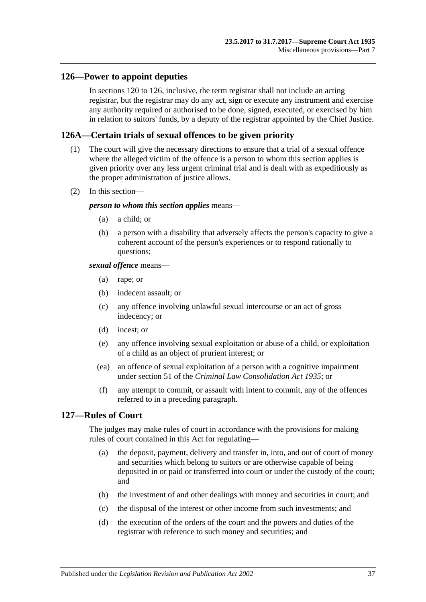### <span id="page-36-0"></span>**126—Power to appoint deputies**

In [sections](#page-35-0) 120 to 126, inclusive, the term registrar shall not include an acting registrar, but the registrar may do any act, sign or execute any instrument and exercise any authority required or authorised to be done, signed, executed, or exercised by him in relation to suitors' funds, by a deputy of the registrar appointed by the Chief Justice.

### <span id="page-36-1"></span>**126A—Certain trials of sexual offences to be given priority**

- (1) The court will give the necessary directions to ensure that a trial of a sexual offence where the alleged victim of the offence is a person to whom this section applies is given priority over any less urgent criminal trial and is dealt with as expeditiously as the proper administration of justice allows.
- (2) In this section—

#### *person to whom this section applies* means—

- (a) a child; or
- (b) a person with a disability that adversely affects the person's capacity to give a coherent account of the person's experiences or to respond rationally to questions;

#### *sexual offence* means—

- (a) rape; or
- (b) indecent assault; or
- (c) any offence involving unlawful sexual intercourse or an act of gross indecency; or
- (d) incest; or
- (e) any offence involving sexual exploitation or abuse of a child, or exploitation of a child as an object of prurient interest; or
- (ea) an offence of sexual exploitation of a person with a cognitive impairment under section 51 of the *[Criminal Law Consolidation Act](http://www.legislation.sa.gov.au/index.aspx?action=legref&type=act&legtitle=Criminal%20Law%20Consolidation%20Act%201935) 1935*; or
- (f) any attempt to commit, or assault with intent to commit, any of the offences referred to in a preceding paragraph.

### <span id="page-36-2"></span>**127—Rules of Court**

The judges may make rules of court in accordance with the provisions for making rules of court contained in this Act for regulating—

- (a) the deposit, payment, delivery and transfer in, into, and out of court of money and securities which belong to suitors or are otherwise capable of being deposited in or paid or transferred into court or under the custody of the court; and
- (b) the investment of and other dealings with money and securities in court; and
- (c) the disposal of the interest or other income from such investments; and
- (d) the execution of the orders of the court and the powers and duties of the registrar with reference to such money and securities; and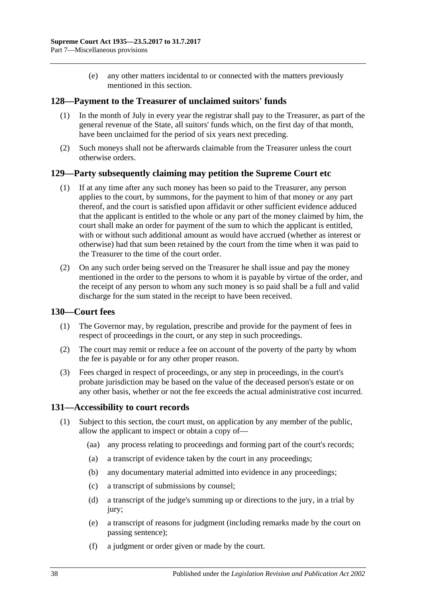(e) any other matters incidental to or connected with the matters previously mentioned in this section.

### <span id="page-37-0"></span>**128—Payment to the Treasurer of unclaimed suitors' funds**

- (1) In the month of July in every year the registrar shall pay to the Treasurer, as part of the general revenue of the State, all suitors' funds which, on the first day of that month, have been unclaimed for the period of six years next preceding.
- (2) Such moneys shall not be afterwards claimable from the Treasurer unless the court otherwise orders.

### <span id="page-37-1"></span>**129—Party subsequently claiming may petition the Supreme Court etc**

- (1) If at any time after any such money has been so paid to the Treasurer, any person applies to the court, by summons, for the payment to him of that money or any part thereof, and the court is satisfied upon affidavit or other sufficient evidence adduced that the applicant is entitled to the whole or any part of the money claimed by him, the court shall make an order for payment of the sum to which the applicant is entitled, with or without such additional amount as would have accrued (whether as interest or otherwise) had that sum been retained by the court from the time when it was paid to the Treasurer to the time of the court order.
- (2) On any such order being served on the Treasurer he shall issue and pay the money mentioned in the order to the persons to whom it is payable by virtue of the order, and the receipt of any person to whom any such money is so paid shall be a full and valid discharge for the sum stated in the receipt to have been received.

### <span id="page-37-2"></span>**130—Court fees**

- (1) The Governor may, by regulation, prescribe and provide for the payment of fees in respect of proceedings in the court, or any step in such proceedings.
- (2) The court may remit or reduce a fee on account of the poverty of the party by whom the fee is payable or for any other proper reason.
- (3) Fees charged in respect of proceedings, or any step in proceedings, in the court's probate jurisdiction may be based on the value of the deceased person's estate or on any other basis, whether or not the fee exceeds the actual administrative cost incurred.

### <span id="page-37-3"></span>**131—Accessibility to court records**

- (1) Subject to this section, the court must, on application by any member of the public, allow the applicant to inspect or obtain a copy of—
	- (aa) any process relating to proceedings and forming part of the court's records;
	- (a) a transcript of evidence taken by the court in any proceedings;
	- (b) any documentary material admitted into evidence in any proceedings;
	- (c) a transcript of submissions by counsel;
	- (d) a transcript of the judge's summing up or directions to the jury, in a trial by jury;
	- (e) a transcript of reasons for judgment (including remarks made by the court on passing sentence);
	- (f) a judgment or order given or made by the court.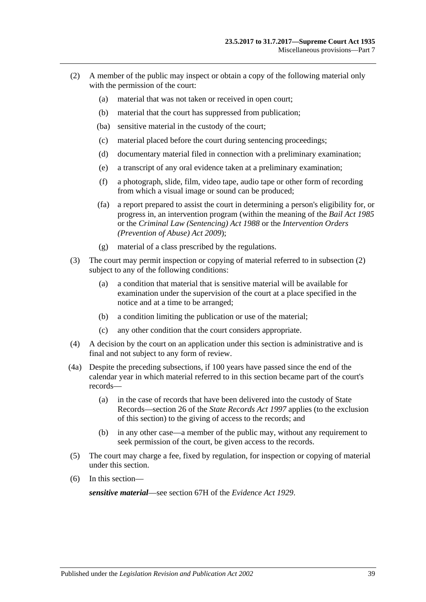- <span id="page-38-0"></span>(2) A member of the public may inspect or obtain a copy of the following material only with the permission of the court:
	- (a) material that was not taken or received in open court;
	- (b) material that the court has suppressed from publication;
	- (ba) sensitive material in the custody of the court;
	- (c) material placed before the court during sentencing proceedings;
	- (d) documentary material filed in connection with a preliminary examination;
	- (e) a transcript of any oral evidence taken at a preliminary examination;
	- (f) a photograph, slide, film, video tape, audio tape or other form of recording from which a visual image or sound can be produced;
	- (fa) a report prepared to assist the court in determining a person's eligibility for, or progress in, an intervention program (within the meaning of the *[Bail Act](http://www.legislation.sa.gov.au/index.aspx?action=legref&type=act&legtitle=Bail%20Act%201985) 1985* or the *[Criminal Law \(Sentencing\) Act](http://www.legislation.sa.gov.au/index.aspx?action=legref&type=act&legtitle=Criminal%20Law%20(Sentencing)%20Act%201988) 1988* or the *Intervention Orders (Prevention of Abuse) Act 2009*);
	- (g) material of a class prescribed by the regulations.
- (3) The court may permit inspection or copying of material referred to in [subsection](#page-38-0) (2) subject to any of the following conditions:
	- (a) a condition that material that is sensitive material will be available for examination under the supervision of the court at a place specified in the notice and at a time to be arranged;
	- (b) a condition limiting the publication or use of the material;
	- (c) any other condition that the court considers appropriate.
- (4) A decision by the court on an application under this section is administrative and is final and not subject to any form of review.
- (4a) Despite the preceding subsections, if 100 years have passed since the end of the calendar year in which material referred to in this section became part of the court's records—
	- (a) in the case of records that have been delivered into the custody of State Records—section 26 of the *[State Records Act](http://www.legislation.sa.gov.au/index.aspx?action=legref&type=act&legtitle=State%20Records%20Act%201997) 1997* applies (to the exclusion of this section) to the giving of access to the records; and
	- (b) in any other case—a member of the public may, without any requirement to seek permission of the court, be given access to the records.
- (5) The court may charge a fee, fixed by regulation, for inspection or copying of material under this section.
- (6) In this section—

*sensitive material*—see section 67H of the *[Evidence Act](http://www.legislation.sa.gov.au/index.aspx?action=legref&type=act&legtitle=Evidence%20Act%201929) 1929*.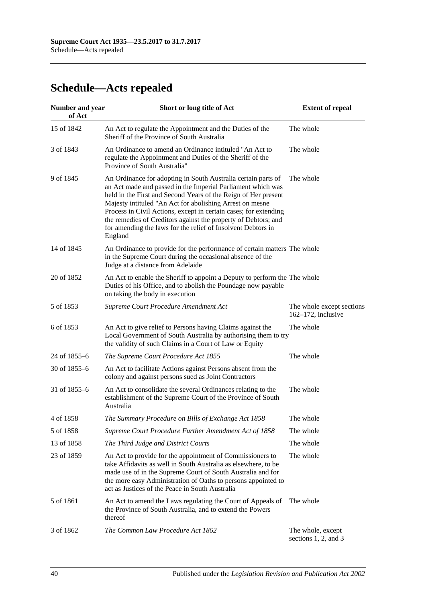# <span id="page-39-0"></span>**Schedule—Acts repealed**

| <b>Number and year</b><br>of Act | Short or long title of Act                                                                                                                                                                                                                                                                                                                                                                                                                                                  | <b>Extent of repeal</b>                            |
|----------------------------------|-----------------------------------------------------------------------------------------------------------------------------------------------------------------------------------------------------------------------------------------------------------------------------------------------------------------------------------------------------------------------------------------------------------------------------------------------------------------------------|----------------------------------------------------|
| 15 of 1842                       | An Act to regulate the Appointment and the Duties of the<br>Sheriff of the Province of South Australia                                                                                                                                                                                                                                                                                                                                                                      | The whole                                          |
| 3 of 1843                        | An Ordinance to amend an Ordinance intituled "An Act to<br>regulate the Appointment and Duties of the Sheriff of the<br>Province of South Australia"                                                                                                                                                                                                                                                                                                                        | The whole                                          |
| 9 of 1845                        | An Ordinance for adopting in South Australia certain parts of<br>an Act made and passed in the Imperial Parliament which was<br>held in the First and Second Years of the Reign of Her present<br>Majesty intituled "An Act for abolishing Arrest on mesne<br>Process in Civil Actions, except in certain cases; for extending<br>the remedies of Creditors against the property of Debtors; and<br>for amending the laws for the relief of Insolvent Debtors in<br>England | The whole                                          |
| 14 of 1845                       | An Ordinance to provide for the performance of certain matters The whole<br>in the Supreme Court during the occasional absence of the<br>Judge at a distance from Adelaide                                                                                                                                                                                                                                                                                                  |                                                    |
| 20 of 1852                       | An Act to enable the Sheriff to appoint a Deputy to perform the The whole<br>Duties of his Office, and to abolish the Poundage now payable<br>on taking the body in execution                                                                                                                                                                                                                                                                                               |                                                    |
| 5 of 1853                        | Supreme Court Procedure Amendment Act                                                                                                                                                                                                                                                                                                                                                                                                                                       | The whole except sections<br>$162-172$ , inclusive |
| 6 of 1853                        | An Act to give relief to Persons having Claims against the<br>Local Government of South Australia by authorising them to try<br>the validity of such Claims in a Court of Law or Equity                                                                                                                                                                                                                                                                                     | The whole                                          |
| 24 of 1855-6                     | The Supreme Court Procedure Act 1855                                                                                                                                                                                                                                                                                                                                                                                                                                        | The whole                                          |
| 30 of 1855-6                     | An Act to facilitate Actions against Persons absent from the<br>colony and against persons sued as Joint Contractors                                                                                                                                                                                                                                                                                                                                                        |                                                    |
| 31 of 1855–6                     | An Act to consolidate the several Ordinances relating to the<br>establishment of the Supreme Court of the Province of South<br>Australia                                                                                                                                                                                                                                                                                                                                    | The whole                                          |
| 4 of 1858                        | The Summary Procedure on Bills of Exchange Act 1858                                                                                                                                                                                                                                                                                                                                                                                                                         | The whole                                          |
| 5 of 1858                        | Supreme Court Procedure Further Amendment Act of 1858                                                                                                                                                                                                                                                                                                                                                                                                                       | The whole                                          |
| 13 of 1858                       | The Third Judge and District Courts                                                                                                                                                                                                                                                                                                                                                                                                                                         | The whole                                          |
| 23 of 1859                       | An Act to provide for the appointment of Commissioners to<br>take Affidavits as well in South Australia as elsewhere, to be<br>made use of in the Supreme Court of South Australia and for<br>the more easy Administration of Oaths to persons appointed to<br>act as Justices of the Peace in South Australia                                                                                                                                                              | The whole                                          |
| 5 of 1861                        | An Act to amend the Laws regulating the Court of Appeals of<br>the Province of South Australia, and to extend the Powers<br>thereof                                                                                                                                                                                                                                                                                                                                         | The whole                                          |
| 3 of 1862                        | The Common Law Procedure Act 1862                                                                                                                                                                                                                                                                                                                                                                                                                                           | The whole, except<br>sections 1, 2, and 3          |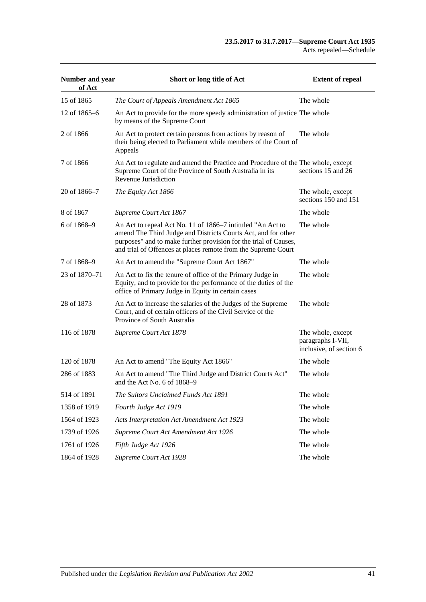| Number and year<br>of Act | Short or long title of Act                                                                                                                                                                                                                                       | <b>Extent of repeal</b>                                           |
|---------------------------|------------------------------------------------------------------------------------------------------------------------------------------------------------------------------------------------------------------------------------------------------------------|-------------------------------------------------------------------|
| 15 of 1865                | The Court of Appeals Amendment Act 1865                                                                                                                                                                                                                          | The whole                                                         |
| 12 of 1865–6              | An Act to provide for the more speedy administration of justice The whole<br>by means of the Supreme Court                                                                                                                                                       |                                                                   |
| 2 of 1866                 | An Act to protect certain persons from actions by reason of<br>their being elected to Parliament while members of the Court of<br>Appeals                                                                                                                        | The whole                                                         |
| 7 of 1866                 | An Act to regulate and amend the Practice and Procedure of the The whole, except<br>Supreme Court of the Province of South Australia in its<br>Revenue Jurisdiction                                                                                              | sections 15 and 26                                                |
| 20 of 1866–7              | The Equity Act 1866                                                                                                                                                                                                                                              | The whole, except<br>sections 150 and 151                         |
| 8 of 1867                 | Supreme Court Act 1867                                                                                                                                                                                                                                           | The whole                                                         |
| 6 of 1868–9               | An Act to repeal Act No. 11 of 1866–7 intituled "An Act to<br>amend The Third Judge and Districts Courts Act, and for other<br>purposes" and to make further provision for the trial of Causes,<br>and trial of Offences at places remote from the Supreme Court | The whole                                                         |
| 7 of 1868-9               | An Act to amend the "Supreme Court Act 1867"                                                                                                                                                                                                                     | The whole                                                         |
| 23 of 1870–71             | An Act to fix the tenure of office of the Primary Judge in<br>Equity, and to provide for the performance of the duties of the<br>office of Primary Judge in Equity in certain cases                                                                              | The whole                                                         |
| 28 of 1873                | An Act to increase the salaries of the Judges of the Supreme<br>Court, and of certain officers of the Civil Service of the<br>Province of South Australia                                                                                                        | The whole                                                         |
| 116 of 1878               | Supreme Court Act 1878                                                                                                                                                                                                                                           | The whole, except<br>paragraphs I-VII,<br>inclusive, of section 6 |
| 120 of 1878               | An Act to amend "The Equity Act 1866"                                                                                                                                                                                                                            | The whole                                                         |
| 286 of 1883               | An Act to amend "The Third Judge and District Courts Act"<br>and the Act No. 6 of 1868–9                                                                                                                                                                         | The whole                                                         |
| 514 of 1891               | The Suitors Unclaimed Funds Act 1891                                                                                                                                                                                                                             | The whole                                                         |
| 1358 of 1919              | Fourth Judge Act 1919                                                                                                                                                                                                                                            | The whole                                                         |
| 1564 of 1923              | Acts Interpretation Act Amendment Act 1923                                                                                                                                                                                                                       | The whole                                                         |
| 1739 of 1926              | Supreme Court Act Amendment Act 1926                                                                                                                                                                                                                             | The whole                                                         |
| 1761 of 1926              | Fifth Judge Act 1926                                                                                                                                                                                                                                             | The whole                                                         |
| 1864 of 1928              | Supreme Court Act 1928                                                                                                                                                                                                                                           | The whole                                                         |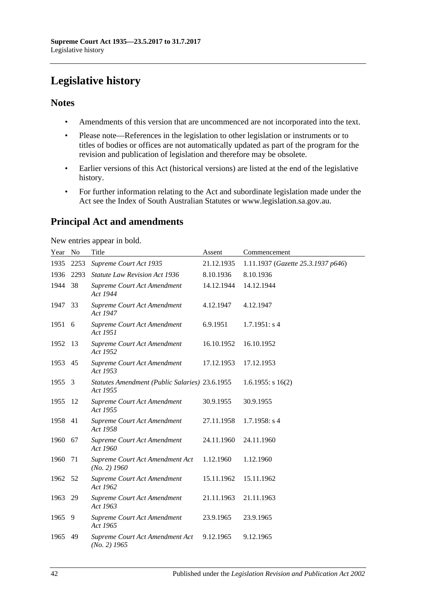# <span id="page-41-0"></span>**Legislative history**

### **Notes**

- Amendments of this version that are uncommenced are not incorporated into the text.
- Please note—References in the legislation to other legislation or instruments or to titles of bodies or offices are not automatically updated as part of the program for the revision and publication of legislation and therefore may be obsolete.
- Earlier versions of this Act (historical versions) are listed at the end of the legislative history.
- For further information relating to the Act and subordinate legislation made under the Act see the Index of South Australian Statutes or www.legislation.sa.gov.au.

## **Principal Act and amendments**

New entries appear in bold.

| Year No |      | Title                                                      | Assent     | Commencement                       |
|---------|------|------------------------------------------------------------|------------|------------------------------------|
| 1935    | 2253 | Supreme Court Act 1935                                     | 21.12.1935 | 1.11.1937 (Gazette 25.3.1937 p646) |
| 1936    | 2293 | <b>Statute Law Revision Act 1936</b>                       | 8.10.1936  | 8.10.1936                          |
| 1944    | 38   | Supreme Court Act Amendment<br>Act 1944                    | 14.12.1944 | 14.12.1944                         |
| 1947    | 33   | Supreme Court Act Amendment<br>Act 1947                    | 4.12.1947  | 4.12.1947                          |
| 1951    | 6    | Supreme Court Act Amendment<br>Act 1951                    | 6.9.1951   | 1.7.1951: s4                       |
| 1952    | 13   | Supreme Court Act Amendment<br>Act 1952                    | 16.10.1952 | 16.10.1952                         |
| 1953    | 45   | <b>Supreme Court Act Amendment</b><br>Act 1953             | 17.12.1953 | 17.12.1953                         |
| 1955    | 3    | Statutes Amendment (Public Salaries) 23.6.1955<br>Act 1955 |            | $1.6.1955$ : s $16(2)$             |
| 1955    | 12   | Supreme Court Act Amendment<br>Act 1955                    | 30.9.1955  | 30.9.1955                          |
| 1958    | 41   | Supreme Court Act Amendment<br>Act 1958                    | 27.11.1958 | $1.7.1958$ : s 4                   |
| 1960    | 67   | Supreme Court Act Amendment<br>Act 1960                    | 24.11.1960 | 24.11.1960                         |
| 1960    | 71   | Supreme Court Act Amendment Act<br>$(No. 2)$ 1960          | 1.12.1960  | 1.12.1960                          |
| 1962    | 52   | Supreme Court Act Amendment<br>Act 1962                    | 15.11.1962 | 15.11.1962                         |
| 1963    | 29   | Supreme Court Act Amendment<br>Act 1963                    | 21.11.1963 | 21.11.1963                         |
| 1965    | 9    | Supreme Court Act Amendment<br>Act 1965                    | 23.9.1965  | 23.9.1965                          |
| 1965    | 49   | Supreme Court Act Amendment Act<br>$(No. 2)$ 1965          | 9.12.1965  | 9.12.1965                          |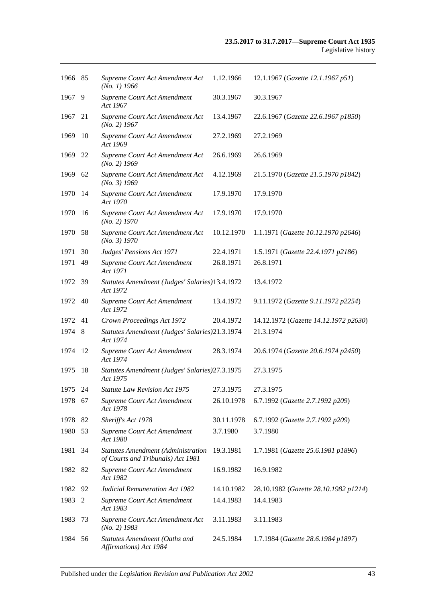| 1966 85 |      | Supreme Court Act Amendment Act<br>$(No. 1)$ 1966                              | 1.12.1966  | 12.1.1967 (Gazette 12.1.1967 p51)     |
|---------|------|--------------------------------------------------------------------------------|------------|---------------------------------------|
| 1967    | 9    | Supreme Court Act Amendment<br>Act 1967                                        | 30.3.1967  | 30.3.1967                             |
| 1967    | 21   | Supreme Court Act Amendment Act<br>$(No. 2)$ 1967                              | 13.4.1967  | 22.6.1967 (Gazette 22.6.1967 p1850)   |
| 1969    | 10   | Supreme Court Act Amendment<br>Act 1969                                        | 27.2.1969  | 27.2.1969                             |
| 1969    | 22   | Supreme Court Act Amendment Act<br>$(No. 2)$ 1969                              | 26.6.1969  | 26.6.1969                             |
| 1969    | 62   | Supreme Court Act Amendment Act<br>$(No. 3)$ 1969                              | 4.12.1969  | 21.5.1970 (Gazette 21.5.1970 p1842)   |
| 1970    | 14   | Supreme Court Act Amendment<br>Act 1970                                        | 17.9.1970  | 17.9.1970                             |
| 1970    | 16   | Supreme Court Act Amendment Act<br>$(No. 2)$ 1970                              | 17.9.1970  | 17.9.1970                             |
| 1970    | 58   | Supreme Court Act Amendment Act<br>(No. 3) 1970                                | 10.12.1970 | 1.1.1971 (Gazette 10.12.1970 p2646)   |
| 1971    | 30   | Judges' Pensions Act 1971                                                      | 22.4.1971  | 1.5.1971 (Gazette 22.4.1971 p2186)    |
| 1971    | 49   | Supreme Court Act Amendment<br>Act 1971                                        | 26.8.1971  | 26.8.1971                             |
| 1972    | - 39 | Statutes Amendment (Judges' Salaries)13.4.1972<br>Act 1972                     |            | 13.4.1972                             |
| 1972    | 40   | Supreme Court Act Amendment<br>Act 1972                                        | 13.4.1972  | 9.11.1972 (Gazette 9.11.1972 p2254)   |
| 1972    | 41   | Crown Proceedings Act 1972                                                     | 20.4.1972  | 14.12.1972 (Gazette 14.12.1972 p2630) |
| 1974    | - 8  | Statutes Amendment (Judges' Salaries)21.3.1974<br>Act 1974                     |            | 21.3.1974                             |
| 1974    | 12   | Supreme Court Act Amendment<br>Act 1974                                        | 28.3.1974  | 20.6.1974 (Gazette 20.6.1974 p2450)   |
| 1975    | 18   | Statutes Amendment (Judges' Salaries) 27.3.1975<br>Act 1975                    |            | 27.3.1975                             |
| 1975 24 |      | <i>Statute Law Revision Act 1975</i>                                           | 27.3.1975  | 27.3.1975                             |
| 1978 67 |      | Supreme Court Act Amendment                                                    |            |                                       |
|         |      | Act 1978                                                                       | 26.10.1978 | 6.7.1992 (Gazette 2.7.1992 p209)      |
| 1978    | 82   | Sheriff's Act 1978                                                             | 30.11.1978 | 6.7.1992 (Gazette 2.7.1992 p209)      |
| 1980    | 53   | Supreme Court Act Amendment<br>Act 1980                                        | 3.7.1980   | 3.7.1980                              |
| 1981    | 34   | <b>Statutes Amendment (Administration</b><br>of Courts and Tribunals) Act 1981 | 19.3.1981  | 1.7.1981 (Gazette 25.6.1981 p1896)    |
| 1982    | 82   | Supreme Court Act Amendment<br>Act 1982                                        | 16.9.1982  | 16.9.1982                             |
| 1982    | 92   | <b>Judicial Remuneration Act 1982</b>                                          | 14.10.1982 | 28.10.1982 (Gazette 28.10.1982 p1214) |
| 1983    | 2    | Supreme Court Act Amendment<br>Act 1983                                        | 14.4.1983  | 14.4.1983                             |
| 1983    | 73   | Supreme Court Act Amendment Act<br>$(No. 2)$ 1983                              | 3.11.1983  | 3.11.1983                             |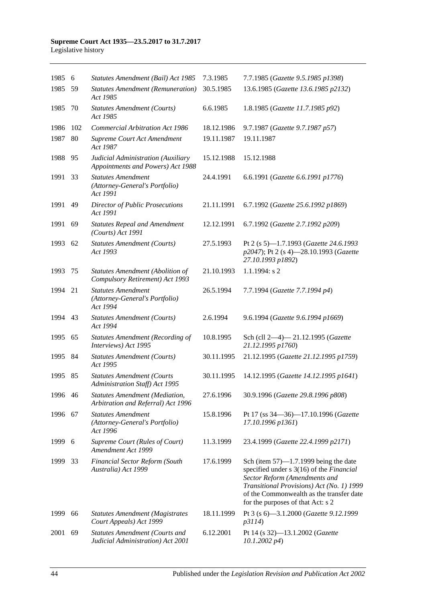#### **Supreme Court Act 1935—23.5.2017 to 31.7.2017** Legislative history

| 1985    | 6   | Statutes Amendment (Bail) Act 1985                                          | 7.3.1985   | 7.7.1985 (Gazette 9.5.1985 p1398)                                                                                                                                                                                                                   |
|---------|-----|-----------------------------------------------------------------------------|------------|-----------------------------------------------------------------------------------------------------------------------------------------------------------------------------------------------------------------------------------------------------|
| 1985    | 59  | <b>Statutes Amendment (Remuneration)</b><br>Act 1985                        | 30.5.1985  | 13.6.1985 (Gazette 13.6.1985 p2132)                                                                                                                                                                                                                 |
| 1985    | 70  | <b>Statutes Amendment (Courts)</b><br>Act 1985                              | 6.6.1985   | 1.8.1985 (Gazette 11.7.1985 p92)                                                                                                                                                                                                                    |
| 1986    | 102 | <b>Commercial Arbitration Act 1986</b>                                      | 18.12.1986 | 9.7.1987 (Gazette 9.7.1987 p57)                                                                                                                                                                                                                     |
| 1987    | 80  | Supreme Court Act Amendment<br>Act 1987                                     | 19.11.1987 | 19.11.1987                                                                                                                                                                                                                                          |
| 1988    | 95  | Judicial Administration (Auxiliary<br>Appointments and Powers) Act 1988     | 15.12.1988 | 15.12.1988                                                                                                                                                                                                                                          |
| 1991    | 33  | <b>Statutes Amendment</b><br>(Attorney-General's Portfolio)<br>Act 1991     | 24.4.1991  | 6.6.1991 (Gazette 6.6.1991 p1776)                                                                                                                                                                                                                   |
| 1991    | 49  | <b>Director of Public Prosecutions</b><br>Act 1991                          | 21.11.1991 | 6.7.1992 (Gazette 25.6.1992 p1869)                                                                                                                                                                                                                  |
| 1991    | 69  | <b>Statutes Repeal and Amendment</b><br>(Courts) Act 1991                   | 12.12.1991 | 6.7.1992 (Gazette 2.7.1992 p209)                                                                                                                                                                                                                    |
| 1993    | 62  | <b>Statutes Amendment (Courts)</b><br>Act 1993                              | 27.5.1993  | Pt 2 (s 5)-1.7.1993 (Gazette 24.6.1993<br>p2047); Pt 2 (s 4)-28.10.1993 (Gazette<br>27.10.1993 p1892)                                                                                                                                               |
| 1993    | 75  | Statutes Amendment (Abolition of<br>Compulsory Retirement) Act 1993         | 21.10.1993 | $1.1.1994$ : s 2                                                                                                                                                                                                                                    |
| 1994    | 21  | <b>Statutes Amendment</b><br>(Attorney-General's Portfolio)<br>Act 1994     | 26.5.1994  | 7.7.1994 (Gazette 7.7.1994 p4)                                                                                                                                                                                                                      |
| 1994    | 43  | <b>Statutes Amendment (Courts)</b><br>Act 1994                              | 2.6.1994   | 9.6.1994 (Gazette 9.6.1994 p1669)                                                                                                                                                                                                                   |
| 1995    | 65  | <b>Statutes Amendment (Recording of</b><br>Interviews) Act 1995             | 10.8.1995  | Sch (cll 2-4)-21.12.1995 (Gazette<br>21.12.1995 p1760)                                                                                                                                                                                              |
| 1995    | 84  | <b>Statutes Amendment (Courts)</b><br>Act 1995                              | 30.11.1995 | 21.12.1995 (Gazette 21.12.1995 p1759)                                                                                                                                                                                                               |
| 1995    | 85  | <b>Statutes Amendment (Courts</b><br>Administration Staff) Act 1995         | 30.11.1995 | 14.12.1995 (Gazette 14.12.1995 p1641)                                                                                                                                                                                                               |
| 1996 46 |     | <b>Statutes Amendment (Mediation,</b><br>Arbitration and Referral) Act 1996 | 27.6.1996  | 30.9.1996 (Gazette 29.8.1996 p808)                                                                                                                                                                                                                  |
| 1996    | 67  | <b>Statutes Amendment</b><br>(Attorney-General's Portfolio)<br>Act 1996     | 15.8.1996  | Pt 17 (ss 34–36)–17.10.1996 (Gazette<br>17.10.1996 p1361)                                                                                                                                                                                           |
| 1999    | 6   | Supreme Court (Rules of Court)<br>Amendment Act 1999                        | 11.3.1999  | 23.4.1999 (Gazette 22.4.1999 p2171)                                                                                                                                                                                                                 |
| 1999    | 33  | <b>Financial Sector Reform (South</b><br>Australia) Act 1999                | 17.6.1999  | Sch (item $57$ )—1.7.1999 being the date<br>specified under s 3(16) of the Financial<br>Sector Reform (Amendments and<br>Transitional Provisions) Act (No. 1) 1999<br>of the Commonwealth as the transfer date<br>for the purposes of that Act: s 2 |
| 1999    | 66  | <b>Statutes Amendment (Magistrates</b><br>Court Appeals) Act 1999           | 18.11.1999 | Pt 3 (s 6)-3.1.2000 (Gazette 9.12.1999<br>p3114)                                                                                                                                                                                                    |
| 2001    | 69  | <b>Statutes Amendment (Courts and</b><br>Judicial Administration) Act 2001  | 6.12.2001  | Pt 14 (s 32)-13.1.2002 (Gazette<br>$10.1.2002\ p4)$                                                                                                                                                                                                 |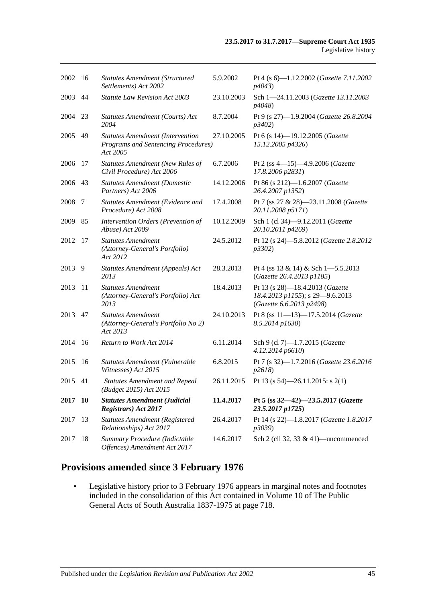| 2002    | - 16 | <b>Statutes Amendment (Structured</b><br>Settlements) Act 2002                             | 5.9.2002   | Pt 4 (s 6)-1.12.2002 (Gazette 7.11.2002<br>p4043)                                              |
|---------|------|--------------------------------------------------------------------------------------------|------------|------------------------------------------------------------------------------------------------|
| 2003    | 44   | <b>Statute Law Revision Act 2003</b>                                                       | 23.10.2003 | Sch 1-24.11.2003 (Gazette 13.11.2003<br>p4048)                                                 |
| 2004    | 23   | Statutes Amendment (Courts) Act<br>2004                                                    | 8.7.2004   | Pt 9 (s 27)-1.9.2004 (Gazette 26.8.2004<br>p3402)                                              |
| 2005    | 49   | <b>Statutes Amendment (Intervention</b><br>Programs and Sentencing Procedures)<br>Act 2005 | 27.10.2005 | Pt 6 (s 14)-19.12.2005 (Gazette<br>15.12.2005 p4326)                                           |
| 2006    | 17   | Statutes Amendment (New Rules of<br>Civil Procedure) Act 2006                              | 6.7.2006   | Pt 2 (ss 4-15)-4.9.2006 (Gazette<br>17.8.2006 p2831)                                           |
| 2006    | 43   | <b>Statutes Amendment (Domestic</b><br>Partners) Act 2006                                  | 14.12.2006 | Pt 86 (s 212)-1.6.2007 (Gazette<br>26.4.2007 p1352)                                            |
| 2008    | 7    | Statutes Amendment (Evidence and<br>Procedure) Act 2008                                    | 17.4.2008  | Pt 7 (ss 27 & 28)-23.11.2008 (Gazette<br>20.11.2008 p5171)                                     |
| 2009    | 85   | Intervention Orders (Prevention of<br>Abuse) Act 2009                                      | 10.12.2009 | Sch 1 (cl 34)-9.12.2011 (Gazette<br>20.10.2011 p4269)                                          |
| 2012    | 17   | <b>Statutes Amendment</b><br>(Attorney-General's Portfolio)<br>Act 2012                    | 24.5.2012  | Pt 12 (s 24)-5.8.2012 (Gazette 2.8.2012<br>p3302)                                              |
| 2013    | 9    | Statutes Amendment (Appeals) Act<br>2013                                                   | 28.3.2013  | Pt 4 (ss $13 \& 14$ ) & Sch 1-5.5.2013<br>(Gazette 26.4.2013 p1185)                            |
| 2013    | 11   | <b>Statutes Amendment</b><br>(Attorney-General's Portfolio) Act<br>2013                    | 18.4.2013  | Pt 13 (s 28)-18.4.2013 (Gazette<br>18.4.2013 p1155); s 29-9.6.2013<br>(Gazette 6.6.2013 p2498) |
| 2013    | 47   | <b>Statutes Amendment</b><br>(Attorney-General's Portfolio No 2)<br>Act 2013               | 24.10.2013 | Pt 8 (ss 11-13)-17.5.2014 (Gazette<br>8.5.2014 p1630)                                          |
| 2014    | -16  | Return to Work Act 2014                                                                    | 6.11.2014  | Sch 9 (cl 7)-1.7.2015 (Gazette<br>4.12.2014 p6610)                                             |
| 2015    | 16   | Statutes Amendment (Vulnerable<br>Witnesses) Act 2015                                      | 6.8.2015   | Pt 7 (s 32)-1.7.2016 (Gazette 23.6.2016<br>p2618)                                              |
| 2015 41 |      | <b>Statutes Amendment and Repeal</b><br>(Budget 2015) Act 2015                             | 26.11.2015 | Pt 13 (s $54$ )-26.11.2015: s 2(1)                                                             |
| 2017 10 |      | <b>Statutes Amendment (Judicial</b><br><b>Registrars</b> ) Act 2017                        | 11.4.2017  | Pt 5 (ss 32-42)-23.5.2017 (Gazette<br>23.5.2017 p1725)                                         |
| 2017    | 13   | <b>Statutes Amendment (Registered</b><br>Relationships) Act 2017                           | 26.4.2017  | Pt 14 (s 22)-1.8.2017 (Gazette 1.8.2017<br>p3039)                                              |
| 2017    | 18   | Summary Procedure (Indictable<br>Offences) Amendment Act 2017                              | 14.6.2017  | Sch 2 (cll 32, 33 $\&$ 41)—uncommenced                                                         |

# **Provisions amended since 3 February 1976**

• Legislative history prior to 3 February 1976 appears in marginal notes and footnotes included in the consolidation of this Act contained in Volume 10 of The Public General Acts of South Australia 1837-1975 at page 718.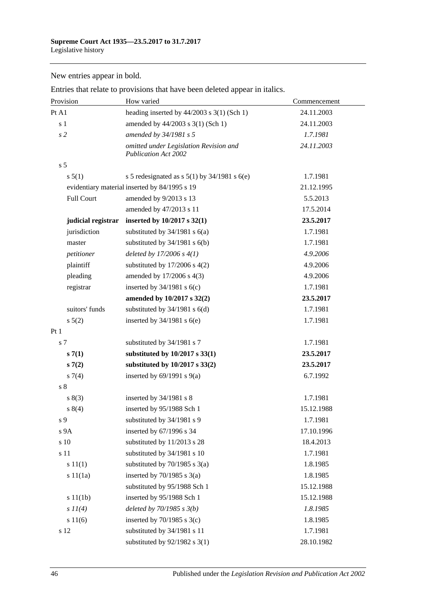New entries appear in bold.

| Provision          | How varied                                                            | Commencement |
|--------------------|-----------------------------------------------------------------------|--------------|
| Pt A1              | heading inserted by $44/2003$ s 3(1) (Sch 1)                          | 24.11.2003   |
| s <sub>1</sub>     | amended by 44/2003 s 3(1) (Sch 1)                                     | 24.11.2003   |
| $\sqrt{s}$ 2       | amended by 34/1981 s 5                                                | 1.7.1981     |
|                    | omitted under Legislation Revision and<br><b>Publication Act 2002</b> | 24.11.2003   |
| s <sub>5</sub>     |                                                                       |              |
| s 5(1)             | s 5 redesignated as s $5(1)$ by $34/1981$ s $6(e)$                    | 1.7.1981     |
|                    | evidentiary material inserted by 84/1995 s 19                         | 21.12.1995   |
| Full Court         | amended by 9/2013 s 13                                                | 5.5.2013     |
|                    | amended by 47/2013 s 11                                               | 17.5.2014    |
| judicial registrar | inserted by $10/2017$ s $32(1)$                                       | 23.5.2017    |
| jurisdiction       | substituted by $34/1981$ s $6(a)$                                     | 1.7.1981     |
| master             | substituted by $34/1981$ s $6(b)$                                     | 1.7.1981     |
| petitioner         | deleted by $17/2006 s 4(1)$                                           | 4.9.2006     |
| plaintiff          | substituted by $17/2006$ s $4(2)$                                     | 4.9.2006     |
| pleading           | amended by 17/2006 s 4(3)                                             | 4.9.2006     |
| registrar          | inserted by $34/1981$ s $6(c)$                                        | 1.7.1981     |
|                    | amended by 10/2017 s 32(2)                                            | 23.5.2017    |
| suitors' funds     | substituted by $34/1981$ s $6(d)$                                     | 1.7.1981     |
| $s\ 5(2)$          | inserted by $34/1981$ s $6(e)$                                        | 1.7.1981     |
| Pt1                |                                                                       |              |
| s 7                | substituted by 34/1981 s 7                                            | 1.7.1981     |
| s(7(1))            | substituted by 10/2017 s 33(1)                                        | 23.5.2017    |
| s(7(2))            | substituted by 10/2017 s 33(2)                                        | 23.5.2017    |
| $s \, 7(4)$        | inserted by $69/1991$ s $9(a)$                                        | 6.7.1992     |
| s <sub>8</sub>     |                                                                       |              |
| s(3)               | inserted by 34/1981 s 8                                               | 1.7.1981     |
| 8(4)               | inserted by 95/1988 Sch 1                                             | 15.12.1988   |
| s 9                | substituted by 34/1981 s 9                                            | 1.7.1981     |
| s 9A               | inserted by 67/1996 s 34                                              | 17.10.1996   |
| s 10               | substituted by 11/2013 s 28                                           | 18.4.2013    |
| s 11               | substituted by 34/1981 s 10                                           | 1.7.1981     |
| s 11(1)            | substituted by $70/1985$ s $3(a)$                                     | 1.8.1985     |
| s 11(1a)           | inserted by $70/1985$ s $3(a)$                                        | 1.8.1985     |
|                    | substituted by 95/1988 Sch 1                                          | 15.12.1988   |
| s 11(1b)           | inserted by 95/1988 Sch 1                                             | 15.12.1988   |
| $s$ $11(4)$        | deleted by $70/1985 s 3(b)$                                           | 1.8.1985     |
| s 11(6)            | inserted by $70/1985$ s $3(c)$                                        | 1.8.1985     |
| s 12               | substituted by 34/1981 s 11                                           | 1.7.1981     |
|                    | substituted by $92/1982$ s 3(1)                                       | 28.10.1982   |

Entries that relate to provisions that have been deleted appear in italics.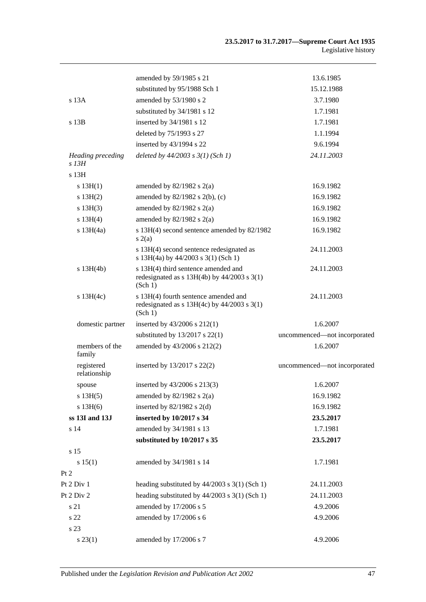|                                     | amended by 59/1985 s 21                                                                            | 13.6.1985                    |
|-------------------------------------|----------------------------------------------------------------------------------------------------|------------------------------|
|                                     | substituted by 95/1988 Sch 1                                                                       | 15.12.1988                   |
| s 13A                               | amended by 53/1980 s 2                                                                             | 3.7.1980                     |
|                                     | substituted by 34/1981 s 12                                                                        | 1.7.1981                     |
| s 13B                               | inserted by 34/1981 s 12                                                                           | 1.7.1981                     |
|                                     | deleted by 75/1993 s 27                                                                            | 1.1.1994                     |
|                                     | inserted by 43/1994 s 22                                                                           | 9.6.1994                     |
| <b>Heading</b> preceding<br>$s$ 13H | deleted by $44/2003$ s $3(1)$ (Sch 1)                                                              | 24.11.2003                   |
| s 13H                               |                                                                                                    |                              |
| s $13H(1)$                          | amended by $82/1982$ s $2(a)$                                                                      | 16.9.1982                    |
| s 13H(2)                            | amended by $82/1982$ s $2(b)$ , (c)                                                                | 16.9.1982                    |
| s 13H(3)                            | amended by $82/1982$ s $2(a)$                                                                      | 16.9.1982                    |
| s 13H(4)                            | amended by $82/1982$ s $2(a)$                                                                      | 16.9.1982                    |
| $s$ 13H $(4a)$                      | s 13H(4) second sentence amended by 82/1982<br>s(2(a)                                              | 16.9.1982                    |
|                                     | s 13H(4) second sentence redesignated as<br>s 13H(4a) by 44/2003 s 3(1) (Sch 1)                    | 24.11.2003                   |
| $s$ 13H(4b)                         | s 13H(4) third sentence amended and<br>redesignated as $s$ 13H(4b) by 44/2003 $s$ 3(1)<br>(Sch 1)  | 24.11.2003                   |
| $s$ 13H(4c)                         | s 13H(4) fourth sentence amended and<br>redesignated as $s$ 13H(4c) by 44/2003 $s$ 3(1)<br>(Sch 1) | 24.11.2003                   |
| domestic partner                    | inserted by 43/2006 s 212(1)                                                                       | 1.6.2007                     |
|                                     | substituted by $13/2017$ s $22(1)$                                                                 | uncommenced-not incorporated |
| members of the<br>family            | amended by 43/2006 s 212(2)                                                                        | 1.6.2007                     |
| registered<br>relationship          | inserted by 13/2017 s 22(2)                                                                        | uncommenced-not incorporated |
| spouse                              | inserted by 43/2006 s 213(3)                                                                       | 1.6.2007                     |
| s 13H(5)                            | amended by $82/1982$ s $2(a)$                                                                      | 16.9.1982                    |
| s 13H(6)                            | inserted by $82/1982$ s $2(d)$                                                                     | 16.9.1982                    |
| ss 13I and 13J                      | inserted by 10/2017 s 34                                                                           | 23.5.2017                    |
| s 14                                | amended by 34/1981 s 13                                                                            | 1.7.1981                     |
|                                     | substituted by 10/2017 s 35                                                                        | 23.5.2017                    |
| s 15                                |                                                                                                    |                              |
| s 15(1)                             | amended by 34/1981 s 14                                                                            | 1.7.1981                     |
| Pt 2                                |                                                                                                    |                              |
| Pt 2 Div 1                          | heading substituted by $44/2003$ s $3(1)$ (Sch 1)                                                  | 24.11.2003                   |
| Pt 2 Div 2                          | heading substituted by 44/2003 s 3(1) (Sch 1)                                                      | 24.11.2003                   |
| s 21                                | amended by 17/2006 s 5                                                                             | 4.9.2006                     |
| s 22                                | amended by 17/2006 s 6                                                                             | 4.9.2006                     |
| s 23                                |                                                                                                    |                              |
| $s\,23(1)$                          | amended by 17/2006 s 7                                                                             | 4.9.2006                     |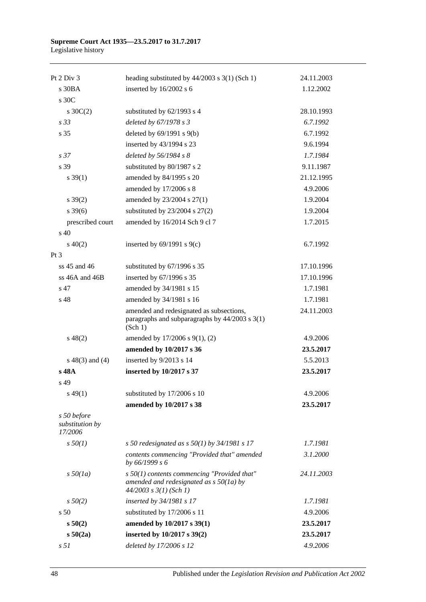#### **Supreme Court Act 1935—23.5.2017 to 31.7.2017** Legislative history

| Pt $2$ Div $3$                            | heading substituted by $44/2003$ s $3(1)$ (Sch 1)                                                                        | 24.11.2003 |
|-------------------------------------------|--------------------------------------------------------------------------------------------------------------------------|------------|
| s30BA                                     | inserted by 16/2002 s 6                                                                                                  | 1.12.2002  |
| s 30C                                     |                                                                                                                          |            |
| s $30C(2)$                                | substituted by 62/1993 s 4                                                                                               | 28.10.1993 |
| s <sub>33</sub>                           | deleted by 67/1978 s 3                                                                                                   | 6.7.1992   |
| s 35                                      | deleted by $69/1991$ s $9(b)$                                                                                            | 6.7.1992   |
|                                           | inserted by 43/1994 s 23                                                                                                 | 9.6.1994   |
| s <sub>37</sub>                           | deleted by $56/1984$ s 8                                                                                                 | 1.7.1984   |
| s 39                                      | substituted by 80/1987 s 2                                                                                               | 9.11.1987  |
| $s \, 39(1)$                              | amended by 84/1995 s 20                                                                                                  | 21.12.1995 |
|                                           | amended by 17/2006 s 8                                                                                                   | 4.9.2006   |
| $s \, 39(2)$                              | amended by 23/2004 s 27(1)                                                                                               | 1.9.2004   |
| $s \, 39(6)$                              | substituted by $23/2004$ s $27(2)$                                                                                       | 1.9.2004   |
| prescribed court                          | amended by 16/2014 Sch 9 cl 7                                                                                            | 1.7.2015   |
| $\mathrm{s}$ 40                           |                                                                                                                          |            |
| $s\ 40(2)$                                | inserted by $69/1991$ s $9(c)$                                                                                           | 6.7.1992   |
| Pt 3                                      |                                                                                                                          |            |
| ss 45 and 46                              | substituted by 67/1996 s 35                                                                                              | 17.10.1996 |
| ss 46A and 46B                            | inserted by 67/1996 s 35                                                                                                 | 17.10.1996 |
| s 47                                      | amended by 34/1981 s 15                                                                                                  | 1.7.1981   |
| s 48                                      | amended by 34/1981 s 16                                                                                                  | 1.7.1981   |
|                                           | amended and redesignated as subsections,<br>paragraphs and subparagraphs by $44/2003$ s $3(1)$<br>(Sch 1)                | 24.11.2003 |
| $s\ 48(2)$                                | amended by 17/2006 s 9(1), (2)                                                                                           | 4.9.2006   |
|                                           | amended by 10/2017 s 36                                                                                                  | 23.5.2017  |
| $s\ 48(3)$ and (4)                        | inserted by 9/2013 s 14                                                                                                  | 5.5.2013   |
| s 48A                                     | inserted by 10/2017 s 37                                                                                                 | 23.5.2017  |
| s 49                                      |                                                                                                                          |            |
| $s\,49(1)$                                | substituted by 17/2006 s 10                                                                                              | 4.9.2006   |
|                                           | amended by 10/2017 s 38                                                                                                  | 23.5.2017  |
| s 50 before<br>substitution by<br>17/2006 |                                                                                                                          |            |
| $s\,50(1)$                                | s 50 redesignated as s $50(1)$ by 34/1981 s 17                                                                           | 1.7.1981   |
|                                           | contents commencing "Provided that" amended<br>by 66/1999 s 6                                                            | 3.1.2000   |
| $s\,50(1a)$                               | $s$ 50(1) contents commencing "Provided that"<br>amended and redesignated as $s$ 50(1a) by<br>$44/2003$ s $3(1)$ (Sch 1) | 24.11.2003 |
| $s\,50(2)$                                | inserted by 34/1981 s 17                                                                                                 | 1.7.1981   |
| s <sub>50</sub>                           | substituted by 17/2006 s 11                                                                                              | 4.9.2006   |
| s 50(2)                                   | amended by 10/2017 s 39(1)                                                                                               | 23.5.2017  |
| s 50(2a)                                  | inserted by 10/2017 s 39(2)                                                                                              | 23.5.2017  |
| s <sub>51</sub>                           | deleted by 17/2006 s 12                                                                                                  | 4.9.2006   |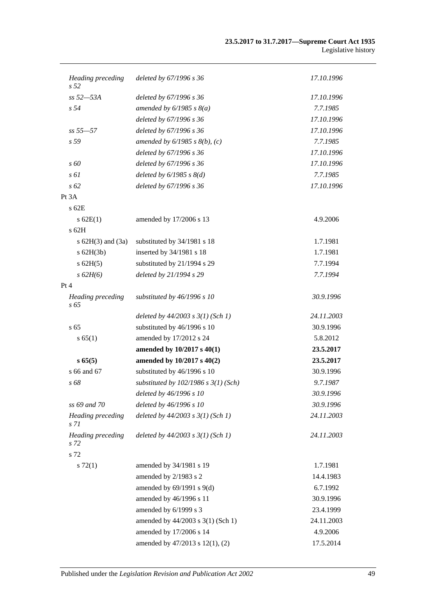#### **23.5.2017 to 31.7.2017—Supreme Court Act 1935** Legislative history

| Heading preceding<br>s <sub>52</sub> | deleted by 67/1996 s 36                  | 17.10.1996 |
|--------------------------------------|------------------------------------------|------------|
| $ss 52 - 53A$                        | deleted by 67/1996 s 36                  | 17.10.1996 |
| s <sub>54</sub>                      | amended by $6/1985$ s $8(a)$             | 7.7.1985   |
|                                      | deleted by 67/1996 s 36                  | 17.10.1996 |
| $ss 55 - 57$                         | deleted by 67/1996 s 36                  | 17.10.1996 |
| s <sub>59</sub>                      | amended by $6/1985$ s $8(b)$ , (c)       | 7.7.1985   |
|                                      | deleted by 67/1996 s 36                  | 17.10.1996 |
| $\sqrt{s}$ 60                        | deleted by 67/1996 s 36                  | 17.10.1996 |
| $s \omega$                           | deleted by $6/1985$ s $8(d)$             | 7.7.1985   |
| $s\,62$                              | deleted by 67/1996 s 36                  | 17.10.1996 |
| Pt 3A                                |                                          |            |
| $s$ 62 $E$                           |                                          |            |
| s 62E(1)                             | amended by 17/2006 s 13                  | 4.9.2006   |
| $s$ 62H                              |                                          |            |
| s $62H(3)$ and $(3a)$                | substituted by 34/1981 s 18              | 1.7.1981   |
| $s$ 62H(3b)                          | inserted by 34/1981 s 18                 | 1.7.1981   |
| $s$ 62H(5)                           | substituted by 21/1994 s 29              | 7.7.1994   |
| s 62H(6)                             | deleted by 21/1994 s 29                  | 7.7.1994   |
| Pt 4                                 |                                          |            |
| <b>Heading</b> preceding<br>$s\,65$  | substituted by $46/1996 s 10$            | 30.9.1996  |
|                                      | deleted by $44/2003$ s $3(1)$ (Sch 1)    | 24.11.2003 |
| s <sub>65</sub>                      | substituted by 46/1996 s 10              | 30.9.1996  |
| s 65(1)                              | amended by 17/2012 s 24                  | 5.8.2012   |
|                                      | amended by 10/2017 s 40(1)               | 23.5.2017  |
| s 65(5)                              | amended by 10/2017 s 40(2)               | 23.5.2017  |
| s 66 and 67                          | substituted by 46/1996 s 10              | 30.9.1996  |
| s 68                                 | substituted by $102/1986$ s $3(1)$ (Sch) | 9.7.1987   |
|                                      | deleted by 46/1996 s 10                  | 30.9.1996  |
| ss 69 and 70                         | deleted by 46/1996 s 10                  | 30.9.1996  |
| Heading preceding<br>s 71            | deleted by $44/2003$ s $3(1)$ (Sch 1)    | 24.11.2003 |
| <b>Heading</b> preceding<br>s 72     | deleted by $44/2003$ s $3(1)$ (Sch 1)    | 24.11.2003 |
| s 72                                 |                                          |            |
| $s\ 72(1)$                           | amended by 34/1981 s 19                  | 1.7.1981   |
|                                      | amended by 2/1983 s 2                    | 14.4.1983  |
|                                      | amended by $69/1991$ s $9(d)$            | 6.7.1992   |
|                                      | amended by 46/1996 s 11                  | 30.9.1996  |
|                                      | amended by 6/1999 s 3                    | 23.4.1999  |
|                                      | amended by $44/2003$ s 3(1) (Sch 1)      | 24.11.2003 |
|                                      | amended by 17/2006 s 14                  | 4.9.2006   |
|                                      | amended by 47/2013 s 12(1), (2)          | 17.5.2014  |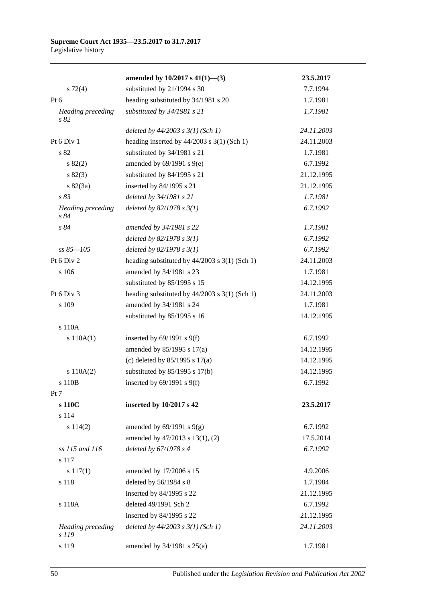|                                  | amended by $10/2017$ s $41(1)$ —(3)               | 23.5.2017  |
|----------------------------------|---------------------------------------------------|------------|
| $s \, 72(4)$                     | substituted by 21/1994 s 30                       | 7.7.1994   |
| Pt $6$                           | heading substituted by 34/1981 s 20               | 1.7.1981   |
| Heading preceding<br>s 82        | substituted by 34/1981 s 21                       | 1.7.1981   |
|                                  | deleted by $44/2003$ s $3(1)$ (Sch 1)             | 24.11.2003 |
| Pt 6 Div 1                       | heading inserted by $44/2003$ s 3(1) (Sch 1)      | 24.11.2003 |
| s 82                             | substituted by 34/1981 s 21                       | 1.7.1981   |
| s 82(2)                          | amended by $69/1991$ s $9(e)$                     | 6.7.1992   |
| s 82(3)                          | substituted by 84/1995 s 21                       | 21.12.1995 |
| $s \, 82(3a)$                    | inserted by 84/1995 s 21                          | 21.12.1995 |
| s 83                             | deleted by 34/1981 s 21                           | 1.7.1981   |
| <b>Heading</b> preceding<br>s 84 | deleted by $82/1978 s 3(1)$                       | 6.7.1992   |
| s 84                             | amended by 34/1981 s 22                           | 1.7.1981   |
|                                  | deleted by $82/1978 s 3(1)$                       | 6.7.1992   |
| $ss 85 - 105$                    | deleted by $82/1978 s 3(1)$                       | 6.7.1992   |
| Pt 6 Div 2                       | heading substituted by $44/2003$ s 3(1) (Sch 1)   | 24.11.2003 |
| s 106                            | amended by 34/1981 s 23                           | 1.7.1981   |
|                                  | substituted by 85/1995 s 15                       | 14.12.1995 |
| Pt 6 Div 3                       | heading substituted by $44/2003$ s $3(1)$ (Sch 1) | 24.11.2003 |
| s 109                            | amended by 34/1981 s 24                           | 1.7.1981   |
|                                  | substituted by 85/1995 s 16                       | 14.12.1995 |
| s 110A                           |                                                   |            |
| s 110A(1)                        | inserted by $69/1991$ s $9(f)$                    | 6.7.1992   |
|                                  | amended by 85/1995 s 17(a)                        | 14.12.1995 |
|                                  | (c) deleted by $85/1995$ s $17(a)$                | 14.12.1995 |
| s 110A(2)                        | substituted by $85/1995$ s 17(b)                  | 14.12.1995 |
| s 110B                           | inserted by $69/1991$ s $9(f)$                    | 6.7.1992   |
| Pt 7                             |                                                   |            |
| s 110C                           | inserted by 10/2017 s 42                          | 23.5.2017  |
| s 114                            |                                                   |            |
| s 114(2)                         | amended by $69/1991$ s $9(g)$                     | 6.7.1992   |
|                                  | amended by 47/2013 s 13(1), (2)                   | 17.5.2014  |
| ss 115 and 116                   | deleted by 67/1978 s 4                            | 6.7.1992   |
| s 117                            |                                                   |            |
| $s\ 117(1)$                      | amended by 17/2006 s 15                           | 4.9.2006   |
| s 118                            | deleted by 56/1984 s 8                            | 1.7.1984   |
|                                  | inserted by 84/1995 s 22                          | 21.12.1995 |
| s 118A                           | deleted 49/1991 Sch 2                             | 6.7.1992   |
|                                  | inserted by 84/1995 s 22                          | 21.12.1995 |
| Heading preceding<br>s 119       | deleted by $44/2003$ s $3(1)$ (Sch 1)             | 24.11.2003 |
| s 119                            | amended by 34/1981 s 25(a)                        | 1.7.1981   |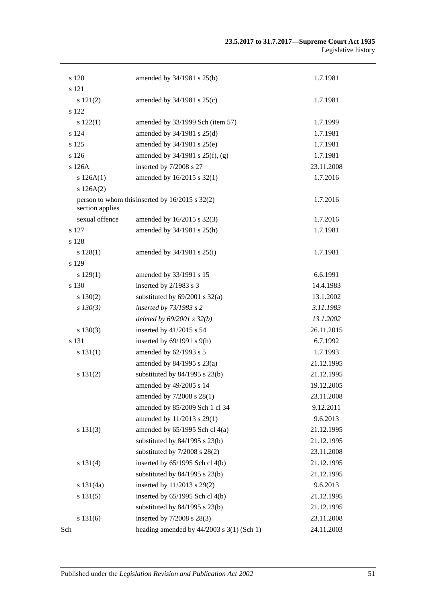| s 120           | amended by 34/1981 s 25(b)                          | 1.7.1981   |
|-----------------|-----------------------------------------------------|------------|
| s 121           |                                                     |            |
| s 121(2)        | amended by $34/1981$ s $25(c)$                      | 1.7.1981   |
| s 122           |                                                     |            |
| s 122(1)        | amended by 33/1999 Sch (item 57)                    | 1.7.1999   |
| s 124           | amended by 34/1981 s 25(d)                          | 1.7.1981   |
| s 125           | amended by 34/1981 s 25(e)                          | 1.7.1981   |
| s 126           | amended by 34/1981 s 25(f), (g)                     | 1.7.1981   |
| s126A           | inserted by 7/2008 s 27                             | 23.11.2008 |
| s 126A(1)       | amended by 16/2015 s 32(1)                          | 1.7.2016   |
| s 126A(2)       |                                                     |            |
| section applies | person to whom this inserted by $16/2015$ s $32(2)$ | 1.7.2016   |
| sexual offence  | amended by 16/2015 s 32(3)                          | 1.7.2016   |
| s 127           | amended by 34/1981 s 25(h)                          | 1.7.1981   |
| s 128           |                                                     |            |
| s 128(1)        | amended by $34/1981$ s $25(i)$                      | 1.7.1981   |
| s 129           |                                                     |            |
| s 129(1)        | amended by 33/1991 s 15                             | 6.6.1991   |
| s 130           | inserted by 2/1983 s 3                              | 14.4.1983  |
| s 130(2)        | substituted by $69/2001$ s $32(a)$                  | 13.1.2002  |
| $s$ 130(3)      | inserted by 73/1983 s 2                             | 3.11.1983  |
|                 | deleted by $69/2001$ s $32(b)$                      | 13.1.2002  |
| $s\ 130(3)$     | inserted by 41/2015 s 54                            | 26.11.2015 |
| s 131           | inserted by $69/1991$ s $9(h)$                      | 6.7.1992   |
| s 131(1)        | amended by 62/1993 s 5                              | 1.7.1993   |
|                 | amended by 84/1995 s 23(a)                          | 21.12.1995 |
| s 131(2)        | substituted by $84/1995$ s $23(b)$                  | 21.12.1995 |
|                 | amended by 49/2005 s 14                             | 19.12.2005 |
|                 | amended by 7/2008 s 28(1)                           | 23.11.2008 |
|                 | amended by 85/2009 Sch 1 cl 34                      | 9.12.2011  |
|                 | amended by 11/2013 s 29(1)                          | 9.6.2013   |
| s 131(3)        | amended by $65/1995$ Sch cl $4(a)$                  | 21.12.1995 |
|                 | substituted by $84/1995$ s $23(b)$                  | 21.12.1995 |
|                 | substituted by $7/2008$ s $28(2)$                   | 23.11.2008 |
| s 131(4)        | inserted by 65/1995 Sch cl 4(b)                     | 21.12.1995 |
|                 | substituted by $84/1995$ s $23(b)$                  | 21.12.1995 |
| s 131(4a)       | inserted by 11/2013 s 29(2)                         | 9.6.2013   |
| s 131(5)        | inserted by 65/1995 Sch cl 4(b)                     | 21.12.1995 |
|                 | substituted by $84/1995$ s $23(b)$                  | 21.12.1995 |
| s 131(6)        | inserted by 7/2008 s 28(3)                          | 23.11.2008 |
| Sch             | heading amended by $44/2003$ s $3(1)$ (Sch 1)       | 24.11.2003 |
|                 |                                                     |            |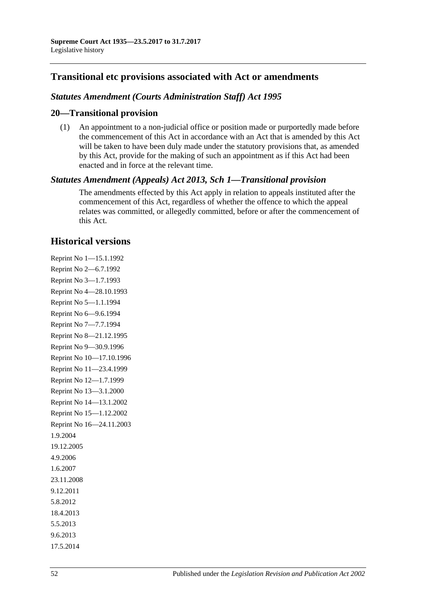## **Transitional etc provisions associated with Act or amendments**

### *Statutes Amendment (Courts Administration Staff) Act 1995*

### **20—Transitional provision**

(1) An appointment to a non-judicial office or position made or purportedly made before the commencement of this Act in accordance with an Act that is amended by this Act will be taken to have been duly made under the statutory provisions that, as amended by this Act, provide for the making of such an appointment as if this Act had been enacted and in force at the relevant time.

### *Statutes Amendment (Appeals) Act 2013, Sch 1—Transitional provision*

The amendments effected by this Act apply in relation to appeals instituted after the commencement of this Act, regardless of whether the offence to which the appeal relates was committed, or allegedly committed, before or after the commencement of this Act.

### **Historical versions**

Reprint No 1—15.1.1992 Reprint No 2—6.7.1992 Reprint No 3—1.7.1993 Reprint No 4—28.10.1993 Reprint No 5—1.1.1994 Reprint No 6—9.6.1994 Reprint No 7—7.7.1994 Reprint No 8—21.12.1995 Reprint No 9—30.9.1996 Reprint No 10—17.10.1996 Reprint No 11—23.4.1999 Reprint No 12—1.7.1999 Reprint No 13—3.1.2000 Reprint No 14—13.1.2002 Reprint No 15—1.12.2002 Reprint No 16—24.11.2003 1.9.2004 19.12.2005 4.9.2006 1.6.2007 23.11.2008 9.12.2011 5.8.2012 18.4.2013 5.5.2013 9.6.2013 17.5.2014